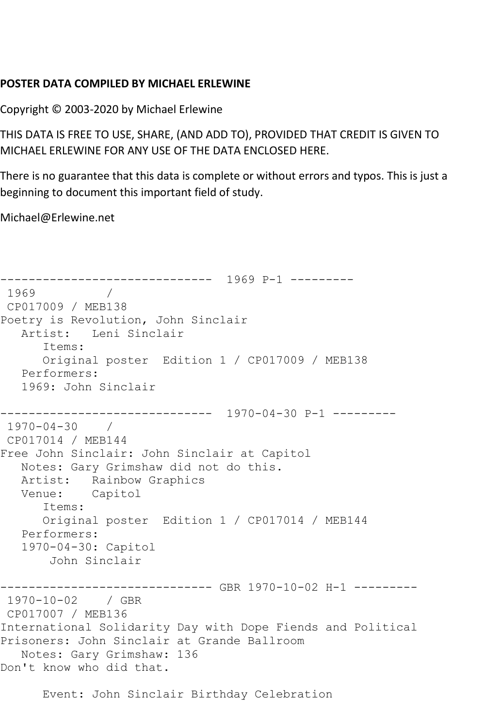## **POSTER DATA COMPILED BY MICHAEL ERLEWINE**

Copyright © 2003-2020 by Michael Erlewine

THIS DATA IS FREE TO USE, SHARE, (AND ADD TO), PROVIDED THAT CREDIT IS GIVEN TO MICHAEL ERLEWINE FOR ANY USE OF THE DATA ENCLOSED HERE.

There is no guarantee that this data is complete or without errors and typos. This is just a beginning to document this important field of study.

Michael@Erlewine.net

```
------------------------------ 1969 P-1 ---------
1969 / 
CP017009 / MEB138
Poetry is Revolution, John Sinclair
   Artist: Leni Sinclair
      Items:
      Original poster Edition 1 / CP017009 / MEB138
   Performers:
   1969: John Sinclair
------------------------------ 1970-04-30 P-1 ---------
1970-04-30 / 
CP017014 / MEB144
Free John Sinclair: John Sinclair at Capitol
   Notes: Gary Grimshaw did not do this.
   Artist: Rainbow Graphics
   Venue: Capitol
      Items:
      Original poster Edition 1 / CP017014 / MEB144
   Performers:
   1970-04-30: Capitol
       John Sinclair
------------------------------ GBR 1970-10-02 H-1 ---------
1970-10-02 / GBR 
CP017007 / MEB136
International Solidarity Day with Dope Fiends and Political 
Prisoners: John Sinclair at Grande Ballroom
   Notes: Gary Grimshaw: 136
Don't know who did that.
```
Event: John Sinclair Birthday Celebration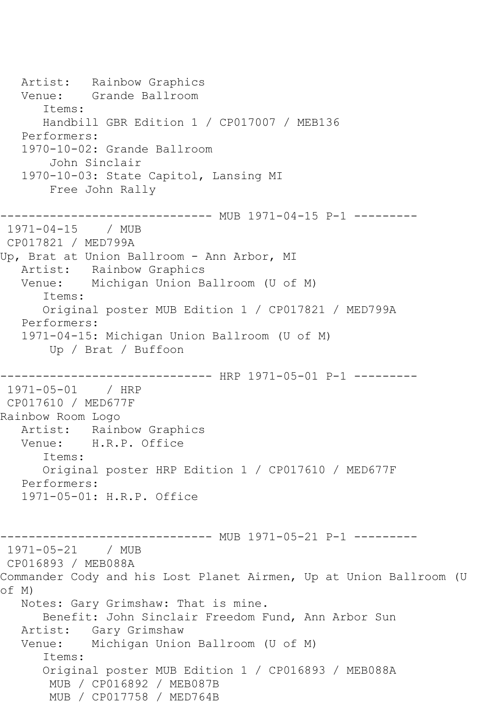Artist: Rainbow Graphics Venue: Grande Ballroom Items: Handbill GBR Edition 1 / CP017007 / MEB136 Performers: 1970-10-02: Grande Ballroom John Sinclair 1970-10-03: State Capitol, Lansing MI Free John Rally ---------------------------- MUB 1971-04-15 P-1 ---------1971-04-15 / MUB CP017821 / MED799A Up, Brat at Union Ballroom - Ann Arbor, MI Artist: Rainbow Graphics Venue: Michigan Union Ballroom (U of M) Items: Original poster MUB Edition 1 / CP017821 / MED799A Performers: 1971-04-15: Michigan Union Ballroom (U of M) Up / Brat / Buffoon ------------------------------ HRP 1971-05-01 P-1 --------- 1971-05-01 / HRP CP017610 / MED677F Rainbow Room Logo Artist: Rainbow Graphics Venue: H.R.P. Office Items: Original poster HRP Edition 1 / CP017610 / MED677F Performers: 1971-05-01: H.R.P. Office ------------------------------ MUB 1971-05-21 P-1 --------- 1971-05-21 / MUB CP016893 / MEB088A Commander Cody and his Lost Planet Airmen, Up at Union Ballroom (U of M) Notes: Gary Grimshaw: That is mine. Benefit: John Sinclair Freedom Fund, Ann Arbor Sun Artist: Gary Grimshaw Venue: Michigan Union Ballroom (U of M) Items: Original poster MUB Edition 1 / CP016893 / MEB088A MUB / CP016892 / MEB087B MUB / CP017758 / MED764B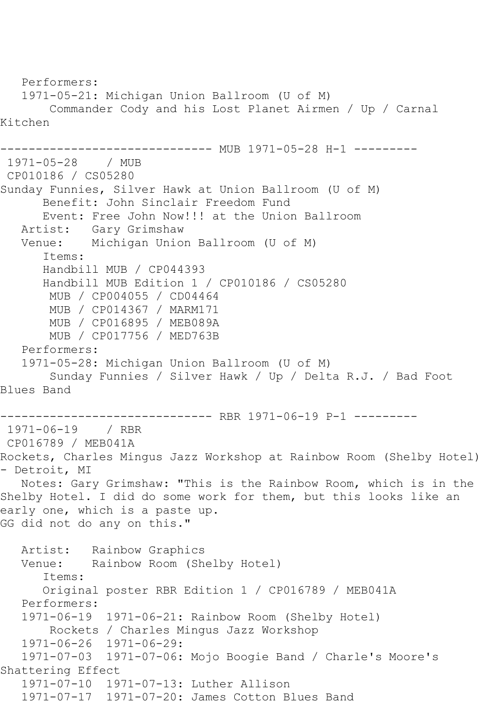```
 Performers:
   1971-05-21: Michigan Union Ballroom (U of M)
        Commander Cody and his Lost Planet Airmen / Up / Carnal 
Kitchen
                    ----------- MUB 1971-05-28 H-1 ---------
1971-05-28 / MUB 
CP010186 / CS05280
Sunday Funnies, Silver Hawk at Union Ballroom (U of M)
      Benefit: John Sinclair Freedom Fund
       Event: Free John Now!!! at the Union Ballroom
  Artist: Gary Grimshaw<br>Venue: Michigan Unio
           Michigan Union Ballroom (U of M)
      Items:
      Handbill MUB / CP044393
      Handbill MUB Edition 1 / CP010186 / CS05280
       MUB / CP004055 / CD04464
       MUB / CP014367 / MARM171
       MUB / CP016895 / MEB089A
        MUB / CP017756 / MED763B
   Performers:
   1971-05-28: Michigan Union Ballroom (U of M)
        Sunday Funnies / Silver Hawk / Up / Delta R.J. / Bad Foot 
Blues Band
------------------------------ RBR 1971-06-19 P-1 ---------
1971-06-19 / RBR 
CP016789 / MEB041A
Rockets, Charles Mingus Jazz Workshop at Rainbow Room (Shelby Hotel) 
- Detroit, MI
   Notes: Gary Grimshaw: "This is the Rainbow Room, which is in the 
Shelby Hotel. I did do some work for them, but this looks like an 
early one, which is a paste up.
GG did not do any on this."
   Artist: Rainbow Graphics
   Venue: Rainbow Room (Shelby Hotel)
       Items:
      Original poster RBR Edition 1 / CP016789 / MEB041A
   Performers:
   1971-06-19 1971-06-21: Rainbow Room (Shelby Hotel)
       Rockets / Charles Mingus Jazz Workshop
   1971-06-26 1971-06-29:
   1971-07-03 1971-07-06: Mojo Boogie Band / Charle's Moore's 
Shattering Effect
   1971-07-10 1971-07-13: Luther Allison
   1971-07-17 1971-07-20: James Cotton Blues Band
```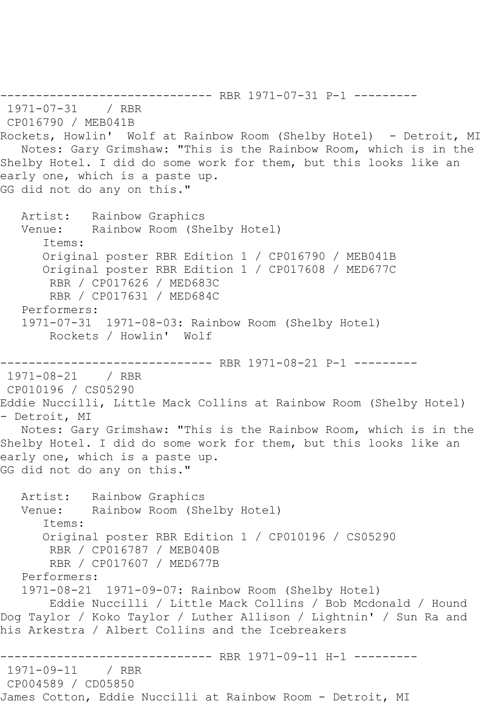------------------------------ RBR 1971-07-31 P-1 --------- 1971-07-31 / RBR CP016790 / MEB041B Rockets, Howlin' Wolf at Rainbow Room (Shelby Hotel) - Detroit, MI Notes: Gary Grimshaw: "This is the Rainbow Room, which is in the Shelby Hotel. I did do some work for them, but this looks like an early one, which is a paste up. GG did not do any on this." Artist: Rainbow Graphics Venue: Rainbow Room (Shelby Hotel) Items: Original poster RBR Edition 1 / CP016790 / MEB041B Original poster RBR Edition 1 / CP017608 / MED677C RBR / CP017626 / MED683C RBR / CP017631 / MED684C Performers: 1971-07-31 1971-08-03: Rainbow Room (Shelby Hotel) Rockets / Howlin' Wolf ---------- RBR 1971-08-21 P-1 ---------1971-08-21 / RBR CP010196 / CS05290 Eddie Nuccilli, Little Mack Collins at Rainbow Room (Shelby Hotel) - Detroit, MI Notes: Gary Grimshaw: "This is the Rainbow Room, which is in the Shelby Hotel. I did do some work for them, but this looks like an early one, which is a paste up. GG did not do any on this." Artist: Rainbow Graphics Venue: Rainbow Room (Shelby Hotel) Items: Original poster RBR Edition 1 / CP010196 / CS05290 RBR / CP016787 / MEB040B RBR / CP017607 / MED677B Performers: 1971-08-21 1971-09-07: Rainbow Room (Shelby Hotel) Eddie Nuccilli / Little Mack Collins / Bob Mcdonald / Hound Dog Taylor / Koko Taylor / Luther Allison / Lightnin' / Sun Ra and his Arkestra / Albert Collins and the Icebreakers ------------------------------ RBR 1971-09-11 H-1 --------- 1971-09-11 / RBR CP004589 / CD05850 James Cotton, Eddie Nuccilli at Rainbow Room - Detroit, MI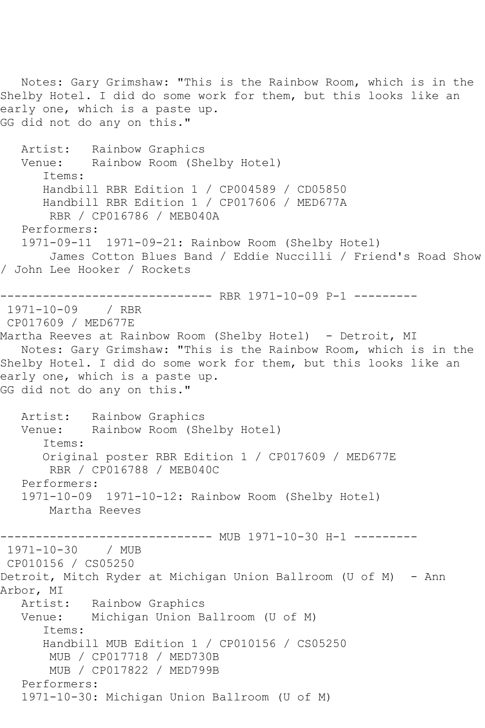Notes: Gary Grimshaw: "This is the Rainbow Room, which is in the Shelby Hotel. I did do some work for them, but this looks like an early one, which is a paste up. GG did not do any on this." Artist: Rainbow Graphics<br>Venue: Rainbow Room (Sh Rainbow Room (Shelby Hotel) Items: Handbill RBR Edition 1 / CP004589 / CD05850 Handbill RBR Edition 1 / CP017606 / MED677A RBR / CP016786 / MEB040A Performers: 1971-09-11 1971-09-21: Rainbow Room (Shelby Hotel) James Cotton Blues Band / Eddie Nuccilli / Friend's Road Show / John Lee Hooker / Rockets ------------------------------ RBR 1971-10-09 P-1 --------- 1971-10-09 / RBR CP017609 / MED677E Martha Reeves at Rainbow Room (Shelby Hotel) - Detroit, MI Notes: Gary Grimshaw: "This is the Rainbow Room, which is in the Shelby Hotel. I did do some work for them, but this looks like an early one, which is a paste up. GG did not do any on this." Artist: Rainbow Graphics Venue: Rainbow Room (Shelby Hotel) Items: Original poster RBR Edition 1 / CP017609 / MED677E RBR / CP016788 / MEB040C Performers: 1971-10-09 1971-10-12: Rainbow Room (Shelby Hotel) Martha Reeves ---------- MUB 1971-10-30 H-1 ---------1971-10-30 / MUB CP010156 / CS05250 Detroit, Mitch Ryder at Michigan Union Ballroom (U of M) - Ann Arbor, MI<br>Artist: Rainbow Graphics Venue: Michigan Union Ballroom (U of M) Items: Handbill MUB Edition 1 / CP010156 / CS05250 MUB / CP017718 / MED730B MUB / CP017822 / MED799B Performers: 1971-10-30: Michigan Union Ballroom (U of M)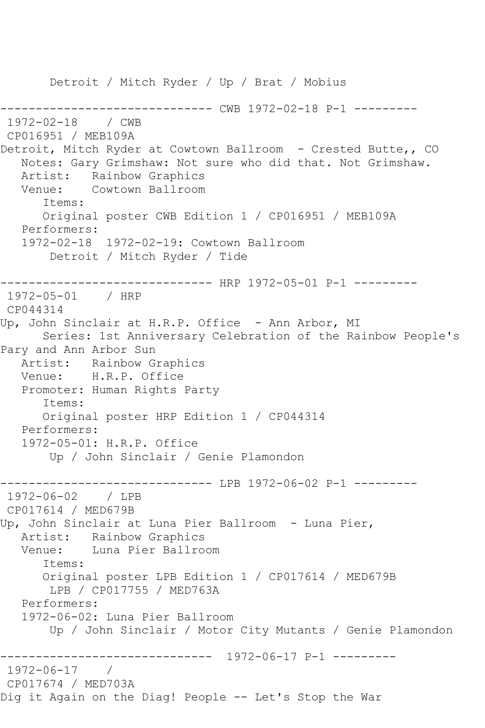Detroit / Mitch Ryder / Up / Brat / Mobius ------------------------------ CWB 1972-02-18 P-1 --------- 1972-02-18 / CWB CP016951 / MEB109A Detroit, Mitch Ryder at Cowtown Ballroom - Crested Butte,, CO Notes: Gary Grimshaw: Not sure who did that. Not Grimshaw. Artist: Rainbow Graphics Venue: Cowtown Ballroom Items: Original poster CWB Edition 1 / CP016951 / MEB109A Performers: 1972-02-18 1972-02-19: Cowtown Ballroom Detroit / Mitch Ryder / Tide ------------------------------ HRP 1972-05-01 P-1 --------- 1972-05-01 / HRP CP044314 Up, John Sinclair at H.R.P. Office - Ann Arbor, MI Series: 1st Anniversary Celebration of the Rainbow People's Pary and Ann Arbor Sun Artist: Rainbow Graphics Venue: H.R.P. Office Promoter: Human Rights Party Items: Original poster HRP Edition 1 / CP044314 Performers: 1972-05-01: H.R.P. Office Up / John Sinclair / Genie Plamondon ------------ LPB 1972-06-02 P-1 ---------1972-06-02 / LPB CP017614 / MED679B Up, John Sinclair at Luna Pier Ballroom - Luna Pier, Artist: Rainbow Graphics Venue: Luna Pier Ballroom Items: Original poster LPB Edition 1 / CP017614 / MED679B LPB / CP017755 / MED763A Performers: 1972-06-02: Luna Pier Ballroom Up / John Sinclair / Motor City Mutants / Genie Plamondon ------------------------------ 1972-06-17 P-1 --------- 1972-06-17 / CP017674 / MED703A Dig it Again on the Diag! People -- Let's Stop the War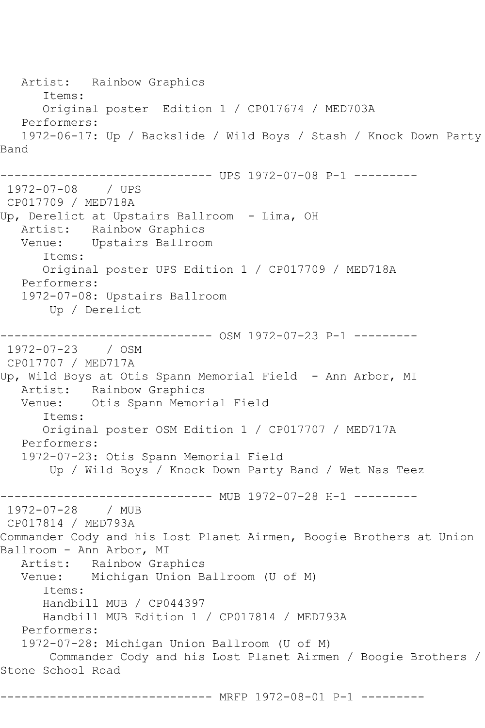Artist: Rainbow Graphics Items: Original poster Edition 1 / CP017674 / MED703A Performers: 1972-06-17: Up / Backslide / Wild Boys / Stash / Knock Down Party Band ------------------------------ UPS 1972-07-08 P-1 --------- 1972-07-08 / UPS CP017709 / MED718A Up, Derelict at Upstairs Ballroom - Lima, OH Artist: Rainbow Graphics Venue: Upstairs Ballroom Items: Original poster UPS Edition 1 / CP017709 / MED718A Performers: 1972-07-08: Upstairs Ballroom Up / Derelict ------------------------------ OSM 1972-07-23 P-1 --------- 1972-07-23 / OSM CP017707 / MED717A Up, Wild Boys at Otis Spann Memorial Field - Ann Arbor, MI Artist: Rainbow Graphics Venue: Otis Spann Memorial Field Items: Original poster OSM Edition 1 / CP017707 / MED717A Performers: 1972-07-23: Otis Spann Memorial Field Up / Wild Boys / Knock Down Party Band / Wet Nas Teez ------------------------------ MUB 1972-07-28 H-1 --------- 1972-07-28 / MUB CP017814 / MED793A Commander Cody and his Lost Planet Airmen, Boogie Brothers at Union Ballroom - Ann Arbor, MI Artist: Rainbow Graphics Venue: Michigan Union Ballroom (U of M) Items: Handbill MUB / CP044397 Handbill MUB Edition 1 / CP017814 / MED793A Performers: 1972-07-28: Michigan Union Ballroom (U of M) Commander Cody and his Lost Planet Airmen / Boogie Brothers / Stone School Road

------------------------------ MRFP 1972-08-01 P-1 ---------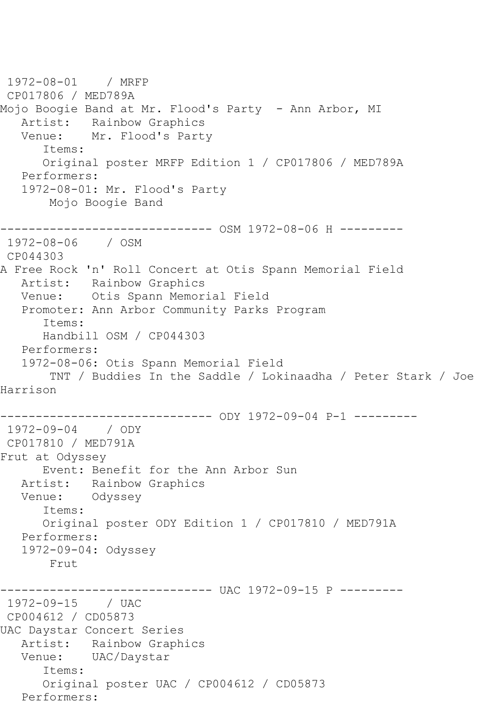```
1972-08-01 / MRFP 
CP017806 / MED789A
Mojo Boogie Band at Mr. Flood's Party  – Ann Arbor, MI
  Artist: Rainbow Graphics<br>Venue: Mr. Flood's Part
            Mr. Flood's Party
       Items:
       Original poster MRFP Edition 1 / CP017806 / MED789A
   Performers:
   1972-08-01: Mr. Flood's Party
        Mojo Boogie Band
------------------------------ OSM 1972-08-06 H ---------
1972-08-06 / OSM 
CP044303
A Free Rock 'n' Roll Concert at Otis Spann Memorial Field
   Artist: Rainbow Graphics
   Venue: Otis Spann Memorial Field
   Promoter: Ann Arbor Community Parks Program
       Items:
      Handbill OSM / CP044303
   Performers:
   1972-08-06: Otis Spann Memorial Field
        TNT / Buddies In the Saddle / Lokinaadha / Peter Stark / Joe 
Harrison
------------------------------ ODY 1972-09-04 P-1 ---------
1972-09-04 / ODY 
CP017810 / MED791A
Frut at Odyssey
      Event: Benefit for the Ann Arbor Sun
   Artist: Rainbow Graphics
   Venue: Odyssey
       Items:
      Original poster ODY Edition 1 / CP017810 / MED791A
   Performers:
   1972-09-04: Odyssey
        Frut
------------------------------ UAC 1972-09-15 P ---------
1972-09-15 / UAC 
CP004612 / CD05873
UAC Daystar Concert Series
   Artist: Rainbow Graphics
   Venue: UAC/Daystar
       Items:
       Original poster UAC / CP004612 / CD05873
   Performers:
```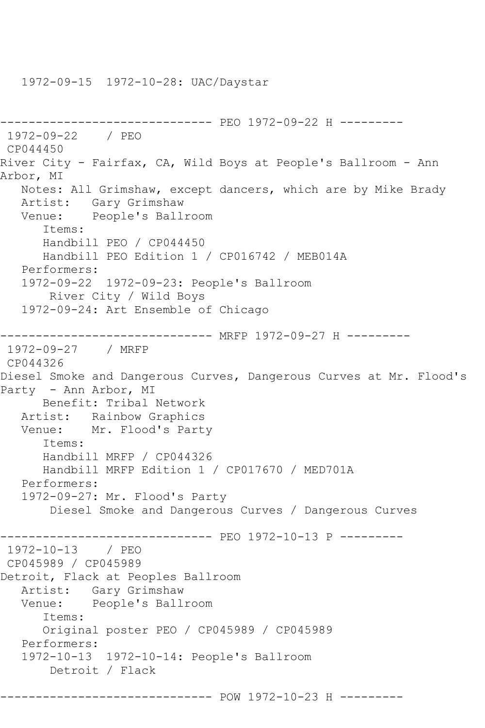```
------------------------------ PEO 1972-09-22 H ---------
1972-09-22 / PEO 
CP044450
River City - Fairfax, CA, Wild Boys at People's Ballroom - Ann 
Arbor, MI
   Notes: All Grimshaw, except dancers, which are by Mike Brady
   Artist: Gary Grimshaw
   Venue: People's Ballroom
       Items:
       Handbill PEO / CP044450
       Handbill PEO Edition 1 / CP016742 / MEB014A
   Performers:
   1972-09-22 1972-09-23: People's Ballroom
        River City / Wild Boys
    1972-09-24: Art Ensemble of Chicago
------------------------------ MRFP 1972-09-27 H ---------
1972-09-27 / MRFP 
CP044326
Diesel Smoke and Dangerous Curves, Dangerous Curves at Mr. Flood's 
Party - Ann Arbor, MI
       Benefit: Tribal Network
   Artist: Rainbow Graphics
   Venue: Mr. Flood's Party
       Items:
       Handbill MRFP / CP044326
       Handbill MRFP Edition 1 / CP017670 / MED701A
   Performers:
    1972-09-27: Mr. Flood's Party
        Diesel Smoke and Dangerous Curves / Dangerous Curves
                   ------------------------------ PEO 1972-10-13 P ---------
1972-10-13 / PEO 
CP045989 / CP045989
Detroit, Flack at Peoples Ballroom
  Artist: Gary Grimshaw<br>Venue: People's Ball:
           People's Ballroom
       Items:
       Original poster PEO / CP045989 / CP045989
   Performers:
    1972-10-13 1972-10-14: People's Ballroom
        Detroit / Flack
------------------------------ POW 1972-10-23 H ---------
```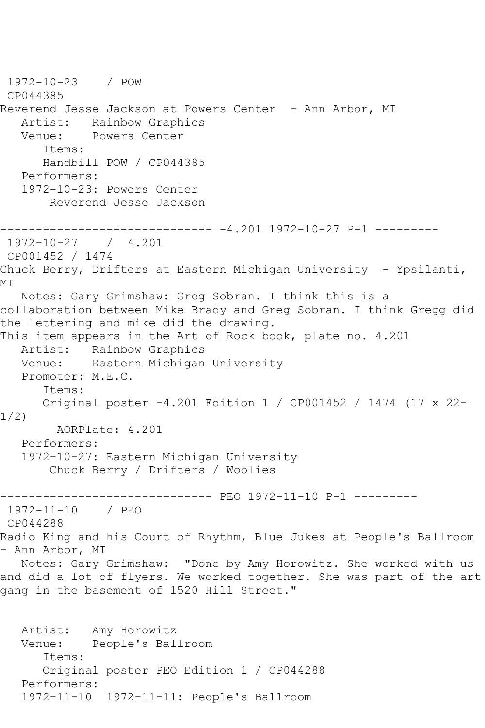1972-10-23 / POW CP044385 Reverend Jesse Jackson at Powers Center - Ann Arbor, MI Artist: Rainbow Graphics<br>Venue: Powers Center Powers Center Items: Handbill POW / CP044385 Performers: 1972-10-23: Powers Center Reverend Jesse Jackson ------------------------------ -4.201 1972-10-27 P-1 --------- 1972-10-27 / 4.201 CP001452 / 1474 Chuck Berry, Drifters at Eastern Michigan University - Ypsilanti, MI Notes: Gary Grimshaw: Greg Sobran. I think this is a collaboration between Mike Brady and Greg Sobran. I think Gregg did the lettering and mike did the drawing. This item appears in the Art of Rock book, plate no. 4.201 Artist: Rainbow Graphics Venue: Eastern Michigan University Promoter: M.E.C. Items: Original poster -4.201 Edition 1 / CP001452 / 1474 (17 x 22- 1/2) AORPlate: 4.201 Performers: 1972-10-27: Eastern Michigan University Chuck Berry / Drifters / Woolies ------------------------------ PEO 1972-11-10 P-1 --------- 1972-11-10 / PEO CP044288 Radio King and his Court of Rhythm, Blue Jukes at People's Ballroom - Ann Arbor, MI Notes: Gary Grimshaw: "Done by Amy Horowitz. She worked with us and did a lot of flyers. We worked together. She was part of the art gang in the basement of 1520 Hill Street." Artist: Amy Horowitz Venue: People's Ballroom Items: Original poster PEO Edition 1 / CP044288 Performers:

```
 1972-11-10 1972-11-11: People's Ballroom
```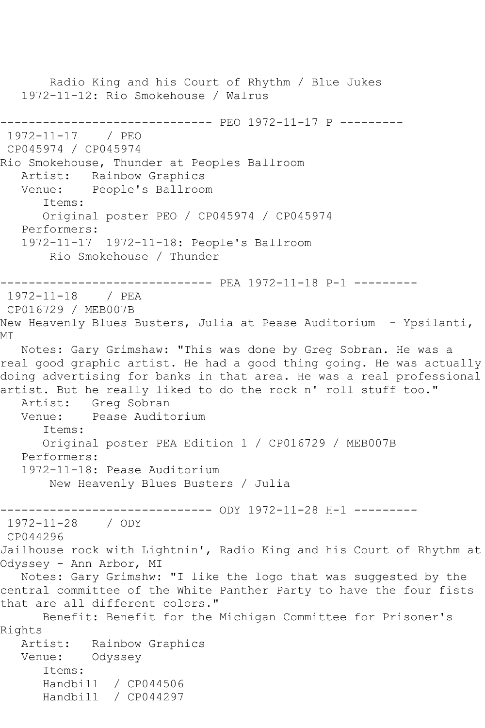Radio King and his Court of Rhythm / Blue Jukes 1972-11-12: Rio Smokehouse / Walrus ------------------------------ PEO 1972-11-17 P --------- 1972-11-17 / PEO CP045974 / CP045974 Rio Smokehouse, Thunder at Peoples Ballroom Artist: Rainbow Graphics Venue: People's Ballroom Items: Original poster PEO / CP045974 / CP045974 Performers: 1972-11-17 1972-11-18: People's Ballroom Rio Smokehouse / Thunder ------------------------------ PEA 1972-11-18 P-1 --------- 1972-11-18 / PEA CP016729 / MEB007B New Heavenly Blues Busters, Julia at Pease Auditorium - Ypsilanti, MI Notes: Gary Grimshaw: "This was done by Greg Sobran. He was a real good graphic artist. He had a good thing going. He was actually doing advertising for banks in that area. He was a real professional artist. But he really liked to do the rock n' roll stuff too." Artist: Greg Sobran<br>Venue: Pease Audit Pease Auditorium Items: Original poster PEA Edition 1 / CP016729 / MEB007B Performers: 1972-11-18: Pease Auditorium New Heavenly Blues Busters / Julia ------------------------------ ODY 1972-11-28 H-1 --------- 1972-11-28 / ODY CP044296 Jailhouse rock with Lightnin', Radio King and his Court of Rhythm at Odyssey - Ann Arbor, MI Notes: Gary Grimshw: "I like the logo that was suggested by the central committee of the White Panther Party to have the four fists that are all different colors." Benefit: Benefit for the Michigan Committee for Prisoner's Rights Artist: Rainbow Graphics Venue: Odyssey Items: Handbill / CP044506 Handbill / CP044297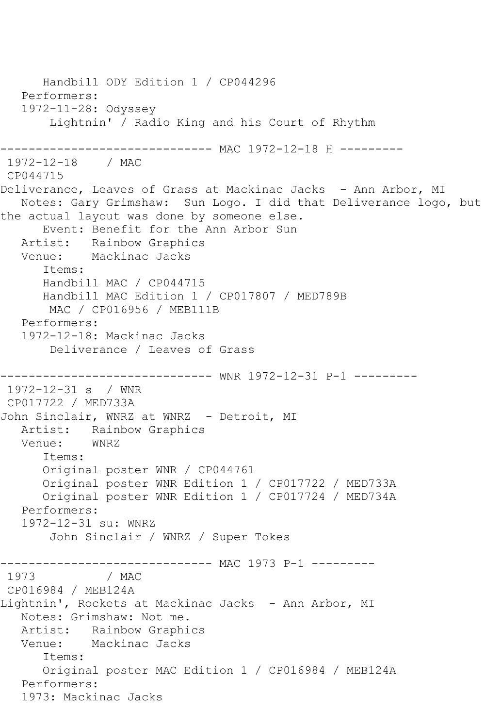Handbill ODY Edition 1 / CP044296 Performers: 1972-11-28: Odyssey Lightnin' / Radio King and his Court of Rhythm --------------------- MAC 1972-12-18 H ---------1972-12-18 / MAC CP044715 Deliverance, Leaves of Grass at Mackinac Jacks - Ann Arbor, MI Notes: Gary Grimshaw: Sun Logo. I did that Deliverance logo, but the actual layout was done by someone else. Event: Benefit for the Ann Arbor Sun Artist: Rainbow Graphics Venue: Mackinac Jacks Items: Handbill MAC / CP044715 Handbill MAC Edition 1 / CP017807 / MED789B MAC / CP016956 / MEB111B Performers: 1972-12-18: Mackinac Jacks Deliverance / Leaves of Grass ------------------------------ WNR 1972-12-31 P-1 --------- 1972-12-31 s / WNR CP017722 / MED733A John Sinclair, WNRZ at WNRZ - Detroit, MI Artist: Rainbow Graphics<br>Venue: WNRZ Venue: Items: Original poster WNR / CP044761 Original poster WNR Edition 1 / CP017722 / MED733A Original poster WNR Edition 1 / CP017724 / MED734A Performers: 1972-12-31 su: WNRZ John Sinclair / WNRZ / Super Tokes ------------------------------ MAC 1973 P-1 --------- 1973 / MAC CP016984 / MEB124A Lightnin', Rockets at Mackinac Jacks - Ann Arbor, MI Notes: Grimshaw: Not me. Artist: Rainbow Graphics Venue: Mackinac Jacks Items: Original poster MAC Edition 1 / CP016984 / MEB124A Performers: 1973: Mackinac Jacks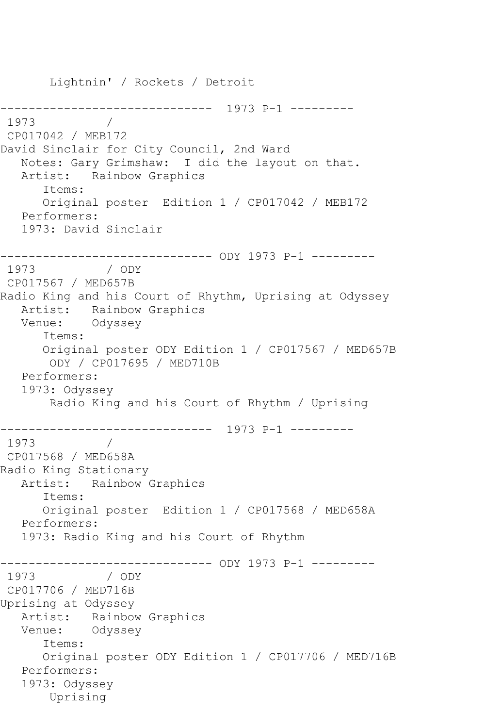Lightnin' / Rockets / Detroit ------------------------------ 1973 P-1 --------- 1973 / CP017042 / MEB172 David Sinclair for City Council, 2nd Ward Notes: Gary Grimshaw: I did the layout on that. Artist: Rainbow Graphics Items: Original poster Edition 1 / CP017042 / MEB172 Performers: 1973: David Sinclair ------------------------------ ODY 1973 P-1 --------- 1973 / ODY CP017567 / MED657B Radio King and his Court of Rhythm, Uprising at Odyssey Artist: Rainbow Graphics Venue: Odyssey Items: Original poster ODY Edition 1 / CP017567 / MED657B ODY / CP017695 / MED710B Performers: 1973: Odyssey Radio King and his Court of Rhythm / Uprising ------------------------------ 1973 P-1 --------- 1973 / CP017568 / MED658A Radio King Stationary Artist: Rainbow Graphics Items: Original poster Edition 1 / CP017568 / MED658A Performers: 1973: Radio King and his Court of Rhythm ------------------------------ ODY 1973 P-1 --------- 1973 / ODY CP017706 / MED716B Uprising at Odyssey Artist: Rainbow Graphics Venue: Odyssey Items: Original poster ODY Edition 1 / CP017706 / MED716B Performers: 1973: Odyssey Uprising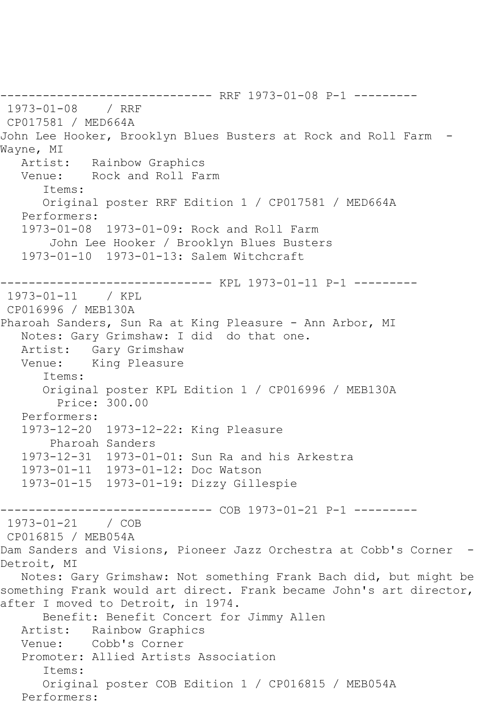------------------------------ RRF 1973-01-08 P-1 --------- 1973-01-08 / RRF CP017581 / MED664A John Lee Hooker, Brooklyn Blues Busters at Rock and Roll Farm - Wayne, MI Artist: Rainbow Graphics Venue: Rock and Roll Farm Items: Original poster RRF Edition 1 / CP017581 / MED664A Performers: 1973-01-08 1973-01-09: Rock and Roll Farm John Lee Hooker / Brooklyn Blues Busters 1973-01-10 1973-01-13: Salem Witchcraft ------------------------------ KPL 1973-01-11 P-1 --------- 1973-01-11 / KPL CP016996 / MEB130A Pharoah Sanders, Sun Ra at King Pleasure - Ann Arbor, MI Notes: Gary Grimshaw: I did do that one. Artist: Gary Grimshaw Venue: King Pleasure Items: Original poster KPL Edition 1 / CP016996 / MEB130A Price: 300.00 Performers: 1973-12-20 1973-12-22: King Pleasure Pharoah Sanders 1973-12-31 1973-01-01: Sun Ra and his Arkestra 1973-01-11 1973-01-12: Doc Watson 1973-01-15 1973-01-19: Dizzy Gillespie ------------------------------ COB 1973-01-21 P-1 --------- 1973-01-21 / COB CP016815 / MEB054A Dam Sanders and Visions, Pioneer Jazz Orchestra at Cobb's Corner -Detroit, MI Notes: Gary Grimshaw: Not something Frank Bach did, but might be something Frank would art direct. Frank became John's art director, after I moved to Detroit, in 1974. Benefit: Benefit Concert for Jimmy Allen Artist: Rainbow Graphics Venue: Cobb's Corner Promoter: Allied Artists Association Items: Original poster COB Edition 1 / CP016815 / MEB054A Performers: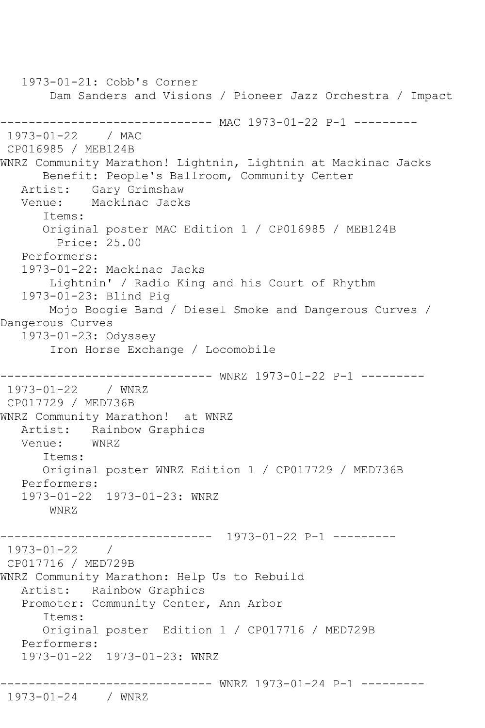1973-01-21: Cobb's Corner Dam Sanders and Visions / Pioneer Jazz Orchestra / Impact ------------------------------ MAC 1973-01-22 P-1 --------- 1973-01-22 / MAC CP016985 / MEB124B WNRZ Community Marathon! Lightnin, Lightnin at Mackinac Jacks Benefit: People's Ballroom, Community Center Artist: Gary Grimshaw<br>Venue: Mackinac Jack: Mackinac Jacks Items: Original poster MAC Edition 1 / CP016985 / MEB124B Price: 25.00 Performers: 1973-01-22: Mackinac Jacks Lightnin' / Radio King and his Court of Rhythm 1973-01-23: Blind Pig Mojo Boogie Band / Diesel Smoke and Dangerous Curves / Dangerous Curves 1973-01-23: Odyssey Iron Horse Exchange / Locomobile ------------------------------ WNRZ 1973-01-22 P-1 --------- 1973-01-22 / WNRZ CP017729 / MED736B WNRZ Community Marathon! at WNRZ Artist: Rainbow Graphics<br>Venue: WNRZ Venue: Items: Original poster WNRZ Edition 1 / CP017729 / MED736B Performers: 1973-01-22 1973-01-23: WNRZ WNRZ ------------------------------ 1973-01-22 P-1 --------- 1973-01-22 / CP017716 / MED729B WNRZ Community Marathon: Help Us to Rebuild Artist: Rainbow Graphics Promoter: Community Center, Ann Arbor Items: Original poster Edition 1 / CP017716 / MED729B Performers: 1973-01-22 1973-01-23: WNRZ ------------------------------ WNRZ 1973-01-24 P-1 --------- 1973-01-24 / WNRZ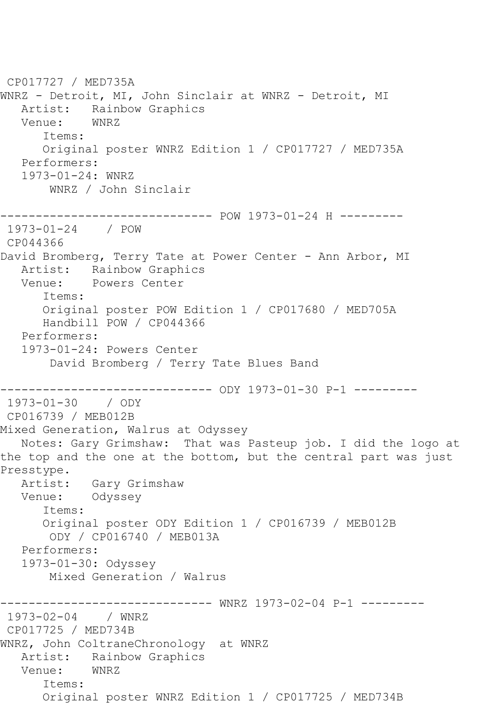CP017727 / MED735A WNRZ - Detroit, MI, John Sinclair at WNRZ - Detroit, MI Artist: Rainbow Graphics Venue: WNRZ Items: Original poster WNRZ Edition 1 / CP017727 / MED735A Performers: 1973-01-24: WNRZ WNRZ / John Sinclair ------------------------------ POW 1973-01-24 H --------- 1973-01-24 / POW CP044366 David Bromberg, Terry Tate at Power Center - Ann Arbor, MI Artist: Rainbow Graphics Venue: Powers Center Items: Original poster POW Edition 1 / CP017680 / MED705A Handbill POW / CP044366 Performers: 1973-01-24: Powers Center David Bromberg / Terry Tate Blues Band ------------------------------ ODY 1973-01-30 P-1 --------- 1973-01-30 / ODY CP016739 / MEB012B Mixed Generation, Walrus at Odyssey Notes: Gary Grimshaw: That was Pasteup job. I did the logo at the top and the one at the bottom, but the central part was just Presstype.<br>:Artist Gary Grimshaw Venue: Odyssey Items: Original poster ODY Edition 1 / CP016739 / MEB012B ODY / CP016740 / MEB013A Performers: 1973-01-30: Odyssey Mixed Generation / Walrus ------------------------------ WNRZ 1973-02-04 P-1 ----------<br>1973-02-04 / WNRZ  $1973 - 02 - 04$ CP017725 / MED734B WNRZ, John ColtraneChronology at WNRZ Artist: Rainbow Graphics<br>Venue: WNRZ Venue: Items: Original poster WNRZ Edition 1 / CP017725 / MED734B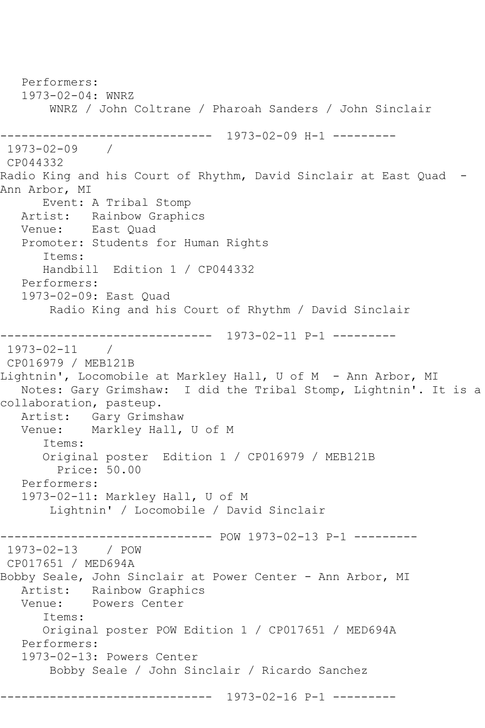Performers: 1973-02-04: WNRZ WNRZ / John Coltrane / Pharoah Sanders / John Sinclair ------------------------------ 1973-02-09 H-1 --------- 1973-02-09 / CP044332 Radio King and his Court of Rhythm, David Sinclair at East Quad - Ann Arbor, MI Event: A Tribal Stomp Artist: Rainbow Graphics Venue: East Quad Promoter: Students for Human Rights Items: Handbill Edition 1 / CP044332 Performers: 1973-02-09: East Quad Radio King and his Court of Rhythm / David Sinclair ------------------------------ 1973-02-11 P-1 ---------  $1973 - 02 - 11$ CP016979 / MEB121B Lightnin', Locomobile at Markley Hall, U of M - Ann Arbor, MI Notes: Gary Grimshaw: I did the Tribal Stomp, Lightnin'. It is a collaboration, pasteup. Artist: Gary Grimshaw<br>Venue: Marklev Hall, Markley Hall, U of M Items: Original poster Edition 1 / CP016979 / MEB121B Price: 50.00 Performers: 1973-02-11: Markley Hall, U of M Lightnin' / Locomobile / David Sinclair ------------------------------ POW 1973-02-13 P-1 --------- 1973-02-13 / POW CP017651 / MED694A Bobby Seale, John Sinclair at Power Center - Ann Arbor, MI Artist: Rainbow Graphics Venue: Powers Center Items: Original poster POW Edition 1 / CP017651 / MED694A Performers: 1973-02-13: Powers Center Bobby Seale / John Sinclair / Ricardo Sanchez ------------------------------ 1973-02-16 P-1 ---------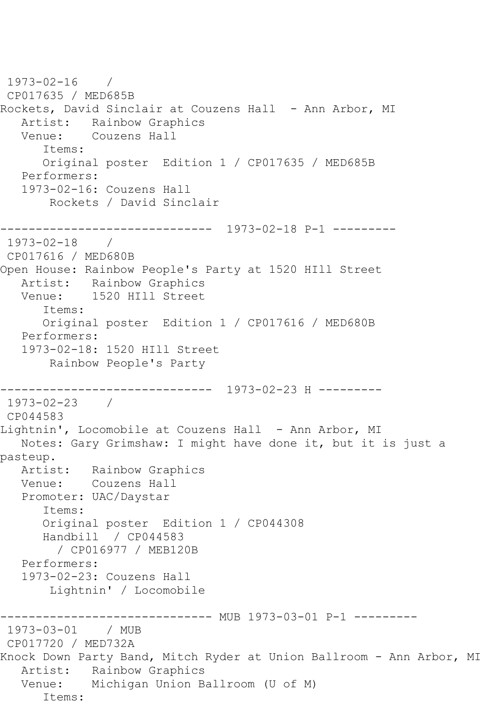```
1973-02-16 / 
CP017635 / MED685B
Rockets, David Sinclair at Couzens Hall - Ann Arbor, MI
  Artist: Rainbow Graphics<br>Venue: Couzens Hall
           Couzens Hall
       Items:
      Original poster Edition 1 / CP017635 / MED685B
   Performers:
   1973-02-16: Couzens Hall
        Rockets / David Sinclair
           ------------------------------ 1973-02-18 P-1 ---------
1973-02-18 / 
CP017616 / MED680B
Open House: Rainbow People's Party at 1520 HIll Street
   Artist: Rainbow Graphics
   Venue: 1520 HIll Street
       Items:
       Original poster Edition 1 / CP017616 / MED680B
   Performers:
   1973-02-18: 1520 HIll Street
        Rainbow People's Party
------------------------------ 1973-02-23 H ---------
1973-02-23 / 
CP044583
Lightnin', Locomobile at Couzens Hall - Ann Arbor, MI
   Notes: Gary Grimshaw: I might have done it, but it is just a 
pasteup.
   Artist: Rainbow Graphics
   Venue: Couzens Hall
   Promoter: UAC/Daystar
       Items:
      Original poster Edition 1 / CP044308
      Handbill / CP044583
         / CP016977 / MEB120B
   Performers:
   1973-02-23: Couzens Hall
        Lightnin' / Locomobile
                     ---------- MUB 1973-03-01 P-1 ---------
1973-03-01 / MUB 
CP017720 / MED732A
Knock Down Party Band, Mitch Ryder at Union Ballroom - Ann Arbor, MI
   Artist: Rainbow Graphics
   Venue: Michigan Union Ballroom (U of M)
       Items:
```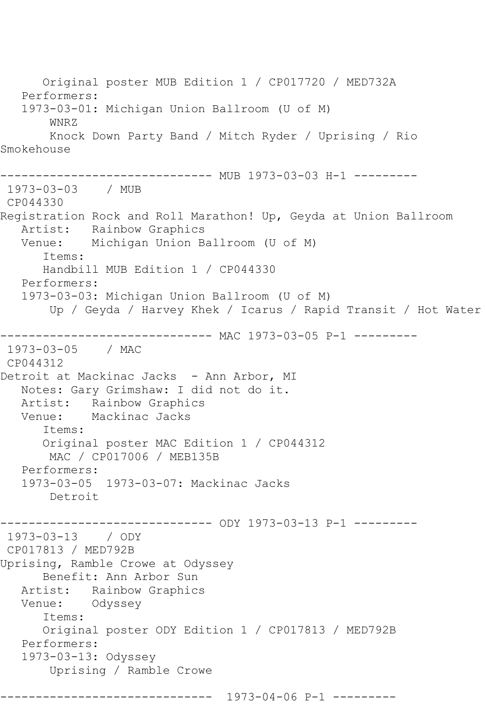Original poster MUB Edition 1 / CP017720 / MED732A Performers: 1973-03-01: Michigan Union Ballroom (U of M) WNRZ Knock Down Party Band / Mitch Ryder / Uprising / Rio Smokehouse ------------------------------ MUB 1973-03-03 H-1 --------- 1973-03-03 / MUB CP044330 Registration Rock and Roll Marathon! Up, Geyda at Union Ballroom Artist: Rainbow Graphics<br>Venue: Michigan Union B Michigan Union Ballroom (U of M) Items: Handbill MUB Edition 1 / CP044330 Performers: 1973-03-03: Michigan Union Ballroom (U of M) Up / Geyda / Harvey Khek / Icarus / Rapid Transit / Hot Water ------------------------------ MAC 1973-03-05 P-1 --------- 1973-03-05 / MAC CP044312 Detroit at Mackinac Jacks - Ann Arbor, MI Notes: Gary Grimshaw: I did not do it. Artist: Rainbow Graphics<br>Venue: Mackinac Jacks Mackinac Jacks Items: Original poster MAC Edition 1 / CP044312 MAC / CP017006 / MEB135B Performers: 1973-03-05 1973-03-07: Mackinac Jacks Detroit ------------------------------ ODY 1973-03-13 P-1 --------- 1973-03-13 / ODY CP017813 / MED792B Uprising, Ramble Crowe at Odyssey Benefit: Ann Arbor Sun Artist: Rainbow Graphics Venue: Odyssey Items: Original poster ODY Edition 1 / CP017813 / MED792B Performers: 1973-03-13: Odyssey Uprising / Ramble Crowe ------------------------------ 1973-04-06 P-1 ---------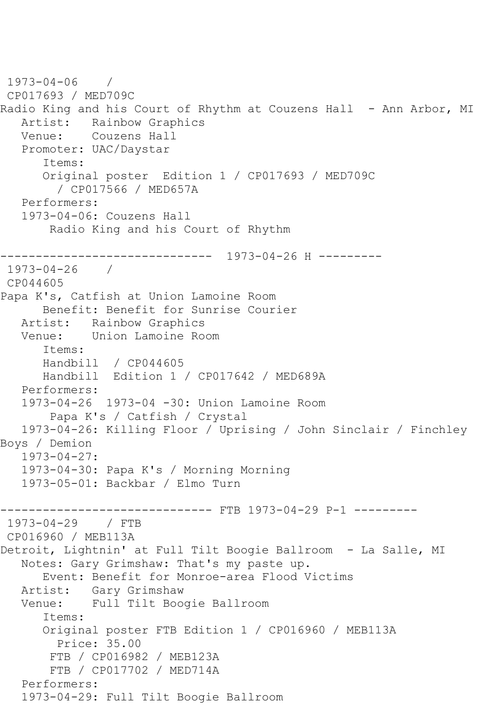```
1973-04-06 / 
CP017693 / MED709C
Radio King and his Court of Rhythm at Couzens Hall - Ann Arbor, MI
   Artist: Rainbow Graphics
   Venue: Couzens Hall
   Promoter: UAC/Daystar
       Items:
       Original poster Edition 1 / CP017693 / MED709C
         / CP017566 / MED657A
   Performers:
   1973-04-06: Couzens Hall
        Radio King and his Court of Rhythm
------------------------------ 1973-04-26 H ---------
1973-04-26 / 
CP044605
Papa K's, Catfish at Union Lamoine Room
      Benefit: Benefit for Sunrise Courier
   Artist: Rainbow Graphics
   Venue: Union Lamoine Room
       Items:
      Handbill / CP044605
      Handbill Edition 1 / CP017642 / MED689A
   Performers:
   1973-04-26 1973-04 -30: Union Lamoine Room
        Papa K's / Catfish / Crystal
   1973-04-26: Killing Floor / Uprising / John Sinclair / Finchley 
Boys / Demion
   1973-04-27:
   1973-04-30: Papa K's / Morning Morning
   1973-05-01: Backbar / Elmo Turn
------------------------------ FTB 1973-04-29 P-1 ---------
1973-04-29 / FTB 
CP016960 / MEB113A
Detroit, Lightnin' at Full Tilt Boogie Ballroom - La Salle, MI
   Notes: Gary Grimshaw: That's my paste up.
       Event: Benefit for Monroe-area Flood Victims
  Artist: Gary Grimshaw<br>Venue: Full Tilt Boo
           Full Tilt Boogie Ballroom
       Items:
      Original poster FTB Edition 1 / CP016960 / MEB113A
        Price: 35.00
        FTB / CP016982 / MEB123A
        FTB / CP017702 / MED714A
   Performers:
   1973-04-29: Full Tilt Boogie Ballroom
```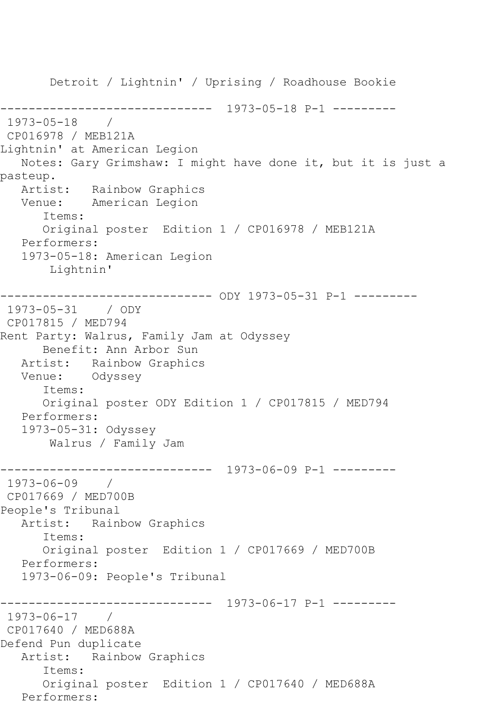Detroit / Lightnin' / Uprising / Roadhouse Bookie ------------------------------ 1973-05-18 P-1 --------- 1973-05-18 / CP016978 / MEB121A Lightnin' at American Legion Notes: Gary Grimshaw: I might have done it, but it is just a pasteup. Artist: Rainbow Graphics Venue: American Legion Items: Original poster Edition 1 / CP016978 / MEB121A Performers: 1973-05-18: American Legion Lightnin' ------------------------------ ODY 1973-05-31 P-1 --------- 1973-05-31 / ODY CP017815 / MED794 Rent Party: Walrus, Family Jam at Odyssey Benefit: Ann Arbor Sun Artist: Rainbow Graphics Venue: Odyssey Items: Original poster ODY Edition 1 / CP017815 / MED794 Performers: 1973-05-31: Odyssey Walrus / Family Jam ------------------------------ 1973-06-09 P-1 --------- 1973-06-09 / CP017669 / MED700B People's Tribunal Artist: Rainbow Graphics Items: Original poster Edition 1 / CP017669 / MED700B Performers: 1973-06-09: People's Tribunal ------------------------------ 1973-06-17 P-1 --------- 1973-06-17 / CP017640 / MED688A Defend Pun duplicate Artist: Rainbow Graphics Items: Original poster Edition 1 / CP017640 / MED688A Performers: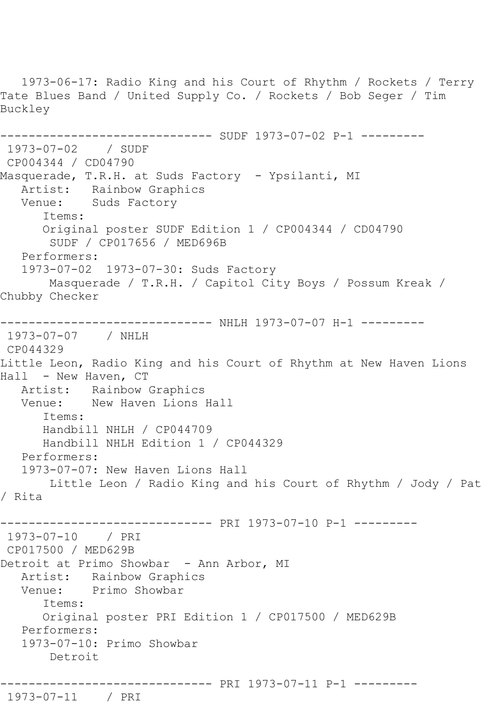1973-06-17: Radio King and his Court of Rhythm / Rockets / Terry Tate Blues Band / United Supply Co. / Rockets / Bob Seger / Tim Buckley ------------------------------ SUDF 1973-07-02 P-1 --------- 1973-07-02 / SUDF CP004344 / CD04790 Masquerade, T.R.H. at Suds Factory - Ypsilanti, MI Artist: Rainbow Graphics Venue: Suds Factory Items: Original poster SUDF Edition 1 / CP004344 / CD04790 SUDF / CP017656 / MED696B Performers: 1973-07-02 1973-07-30: Suds Factory Masquerade / T.R.H. / Capitol City Boys / Possum Kreak / Chubby Checker ------------------------------ NHLH 1973-07-07 H-1 --------- 1973-07-07 / NHLH CP044329 Little Leon, Radio King and his Court of Rhythm at New Haven Lions Hall - New Haven, CT Artist: Rainbow Graphics Venue: New Haven Lions Hall Items: Handbill NHLH / CP044709 Handbill NHLH Edition 1 / CP044329 Performers: 1973-07-07: New Haven Lions Hall Little Leon / Radio King and his Court of Rhythm / Jody / Pat / Rita ------------------------------ PRI 1973-07-10 P-1 --------- 1973-07-10 / PRI CP017500 / MED629B Detroit at Primo Showbar - Ann Arbor, MI Artist: Rainbow Graphics Venue: Primo Showbar Items: Original poster PRI Edition 1 / CP017500 / MED629B Performers: 1973-07-10: Primo Showbar Detroit ------------------------------ PRI 1973-07-11 P-1 --------- 1973-07-11 / PRI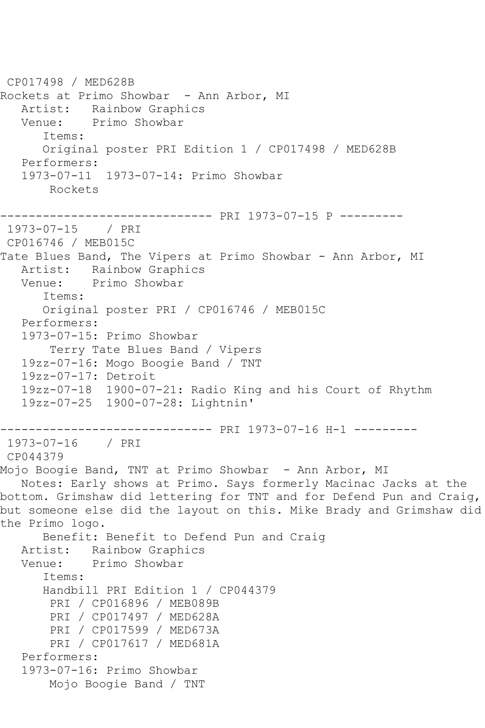CP017498 / MED628B Rockets at Primo Showbar - Ann Arbor, MI Artist: Rainbow Graphics Venue: Primo Showbar Items: Original poster PRI Edition 1 / CP017498 / MED628B Performers: 1973-07-11 1973-07-14: Primo Showbar Rockets ------------------------------ PRI 1973-07-15 P --------- 1973-07-15 / PRI CP016746 / MEB015C Tate Blues Band, The Vipers at Primo Showbar - Ann Arbor, MI Artist: Rainbow Graphics Venue: Primo Showbar Items: Original poster PRI / CP016746 / MEB015C Performers: 1973-07-15: Primo Showbar Terry Tate Blues Band / Vipers 19zz-07-16: Mogo Boogie Band / TNT 19zz-07-17: Detroit 19zz-07-18 1900-07-21: Radio King and his Court of Rhythm 19zz-07-25 1900-07-28: Lightnin' ------------------------------ PRI 1973-07-16 H-1 --------- 1973-07-16 / PRI CP044379 Mojo Boogie Band, TNT at Primo Showbar - Ann Arbor, MI Notes: Early shows at Primo. Says formerly Macinac Jacks at the bottom. Grimshaw did lettering for TNT and for Defend Pun and Craig, but someone else did the layout on this. Mike Brady and Grimshaw did the Primo logo. Benefit: Benefit to Defend Pun and Craig Artist: Rainbow Graphics<br>Venue: Primo Showbar Primo Showbar Items: Handbill PRI Edition 1 / CP044379 PRI / CP016896 / MEB089B PRI / CP017497 / MED628A PRI / CP017599 / MED673A PRI / CP017617 / MED681A Performers: 1973-07-16: Primo Showbar Mojo Boogie Band / TNT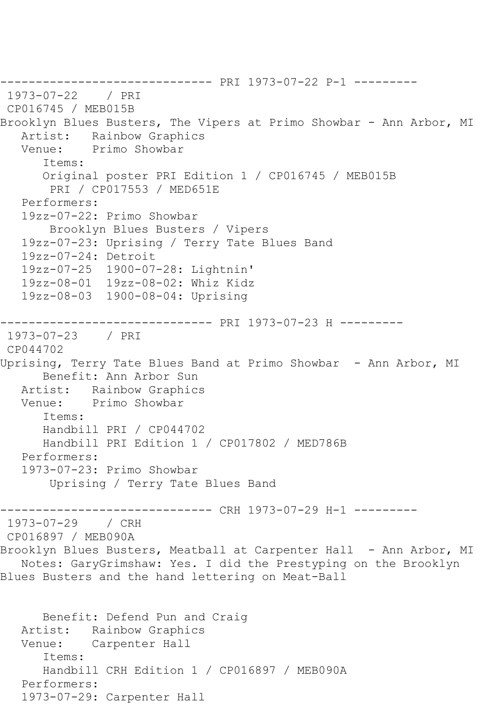------------------------------ PRI 1973-07-22 P-1 --------- 1973-07-22 / PRI CP016745 / MEB015B Brooklyn Blues Busters, The Vipers at Primo Showbar - Ann Arbor, MI Artist: Rainbow Graphics Venue: Primo Showbar Items: Original poster PRI Edition 1 / CP016745 / MEB015B PRI / CP017553 / MED651E Performers: 19zz-07-22: Primo Showbar Brooklyn Blues Busters / Vipers 19zz-07-23: Uprising / Terry Tate Blues Band 19zz-07-24: Detroit 19zz-07-25 1900-07-28: Lightnin' 19zz-08-01 19zz-08-02: Whiz Kidz 19zz-08-03 1900-08-04: Uprising ------------------------------ PRI 1973-07-23 H --------- 1973-07-23 / PRI CP044702 Uprising, Terry Tate Blues Band at Primo Showbar - Ann Arbor, MI Benefit: Ann Arbor Sun Artist: Rainbow Graphics Venue: Primo Showbar Items: Handbill PRI / CP044702 Handbill PRI Edition 1 / CP017802 / MED786B Performers: 1973-07-23: Primo Showbar Uprising / Terry Tate Blues Band ------------------------------ CRH 1973-07-29 H-1 --------- 1973-07-29 / CRH CP016897 / MEB090A Brooklyn Blues Busters, Meatball at Carpenter Hall - Ann Arbor, MI Notes: GaryGrimshaw: Yes. I did the Prestyping on the Brooklyn Blues Busters and the hand lettering on Meat-Ball Benefit: Defend Pun and Craig Artist: Rainbow Graphics Venue: Carpenter Hall Items: Handbill CRH Edition 1 / CP016897 / MEB090A Performers: 1973-07-29: Carpenter Hall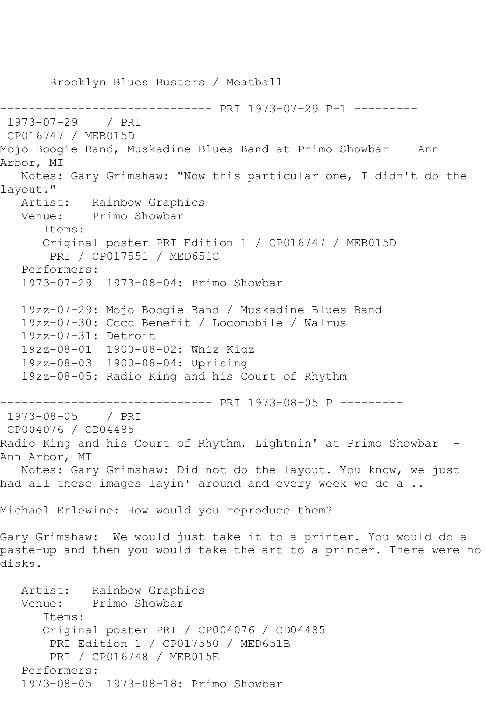Brooklyn Blues Busters / Meatball ------------------------------ PRI 1973-07-29 P-1 --------- 1973-07-29 / PRI CP016747 / MEB015D Mojo Boogie Band, Muskadine Blues Band at Primo Showbar - Ann Arbor, MI Notes: Gary Grimshaw: "Now this particular one, I didn't do the layout." Artist: Rainbow Graphics<br>Venue: Primo Showbar Primo Showbar Items: Original poster PRI Edition 1 / CP016747 / MEB015D PRI / CP017551 / MED651C Performers: 1973-07-29 1973-08-04: Primo Showbar 19zz-07-29: Mojo Boogie Band / Muskadine Blues Band 19zz-07-30: Cccc Benefit / Locomobile / Walrus 19zz-07-31: Detroit 19zz-08-01 1900-08-02: Whiz Kidz 19zz-08-03 1900-08-04: Uprising 19zz-08-05: Radio King and his Court of Rhythm ------------------------------ PRI 1973-08-05 P --------- 1973-08-05 / PRI CP004076 / CD04485 Radio King and his Court of Rhythm, Lightnin' at Primo Showbar -Ann Arbor, MI Notes: Gary Grimshaw: Did not do the layout. You know, we just had all these images layin' around and every week we do a .. Michael Erlewine: How would you reproduce them? Gary Grimshaw: We would just take it to a printer. You would do a paste-up and then you would take the art to a printer. There were no disks. Artist: Rainbow Graphics<br>Venue: Primo Showbar Primo Showbar Items: Original poster PRI / CP004076 / CD04485 PRI Edition 1 / CP017550 / MED651B PRI / CP016748 / MEB015E Performers: 1973-08-05 1973-08-18: Primo Showbar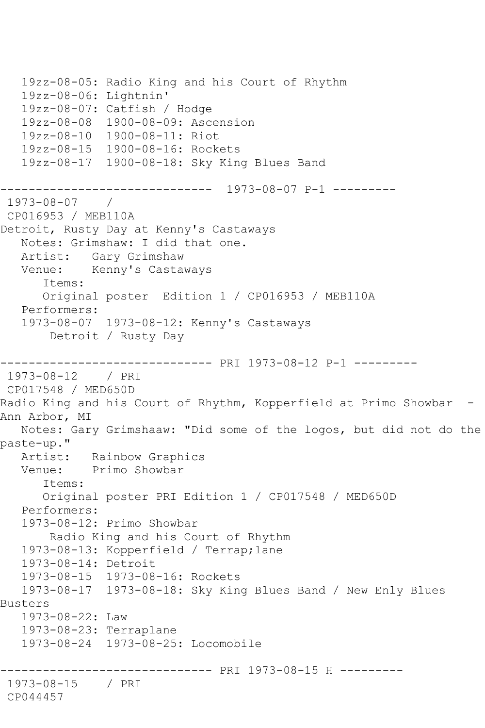19zz-08-05: Radio King and his Court of Rhythm 19zz-08-06: Lightnin' 19zz-08-07: Catfish / Hodge 19zz-08-08 1900-08-09: Ascension 19zz-08-10 1900-08-11: Riot 19zz-08-15 1900-08-16: Rockets 19zz-08-17 1900-08-18: Sky King Blues Band ------------------------------ 1973-08-07 P-1 --------- 1973-08-07 / CP016953 / MEB110A Detroit, Rusty Day at Kenny's Castaways Notes: Grimshaw: I did that one. Artist: Gary Grimshaw Venue: Kenny's Castaways Items: Original poster Edition 1 / CP016953 / MEB110A Performers: 1973-08-07 1973-08-12: Kenny's Castaways Detroit / Rusty Day ------------------------------ PRI 1973-08-12 P-1 --------- 1973-08-12 / PRI CP017548 / MED650D Radio King and his Court of Rhythm, Kopperfield at Primo Showbar - Ann Arbor, MI Notes: Gary Grimshaaw: "Did some of the logos, but did not do the paste-up." Artist: Rainbow Graphics Venue: Primo Showbar Items: Original poster PRI Edition 1 / CP017548 / MED650D Performers: 1973-08-12: Primo Showbar Radio King and his Court of Rhythm 1973-08-13: Kopperfield / Terrap;lane 1973-08-14: Detroit 1973-08-15 1973-08-16: Rockets 1973-08-17 1973-08-18: Sky King Blues Band / New Enly Blues Busters 1973-08-22: Law 1973-08-23: Terraplane 1973-08-24 1973-08-25: Locomobile ------------------------------ PRI 1973-08-15 H --------- 1973-08-15 / PRI CP044457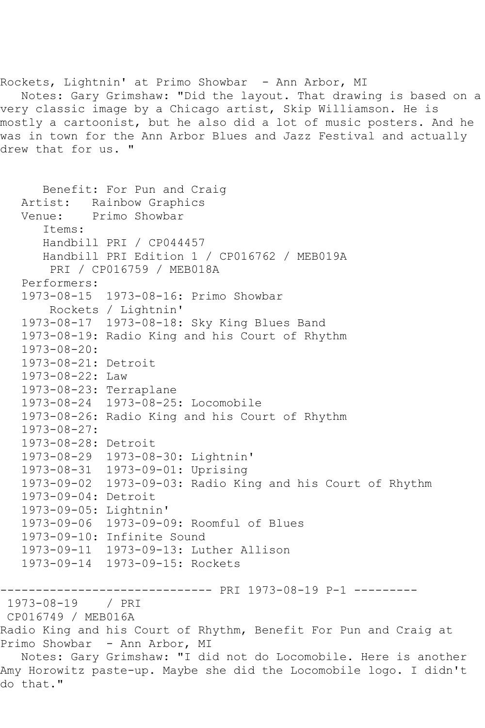Rockets, Lightnin' at Primo Showbar - Ann Arbor, MI Notes: Gary Grimshaw: "Did the layout. That drawing is based on a very classic image by a Chicago artist, Skip Williamson. He is mostly a cartoonist, but he also did a lot of music posters. And he was in town for the Ann Arbor Blues and Jazz Festival and actually drew that for us. "

```
 Benefit: For Pun and Craig
   Artist: Rainbow Graphics
   Venue: Primo Showbar
       Items:
       Handbill PRI / CP044457
      Handbill PRI Edition 1 / CP016762 / MEB019A
        PRI / CP016759 / MEB018A
   Performers:
   1973-08-15 1973-08-16: Primo Showbar
        Rockets / Lightnin'
   1973-08-17 1973-08-18: Sky King Blues Band
   1973-08-19: Radio King and his Court of Rhythm
   1973-08-20:
   1973-08-21: Detroit
   1973-08-22: Law
   1973-08-23: Terraplane
   1973-08-24 1973-08-25: Locomobile
   1973-08-26: Radio King and his Court of Rhythm
   1973-08-27:
   1973-08-28: Detroit
   1973-08-29 1973-08-30: Lightnin'
   1973-08-31 1973-09-01: Uprising
   1973-09-02 1973-09-03: Radio King and his Court of Rhythm
   1973-09-04: Detroit
   1973-09-05: Lightnin'
   1973-09-06 1973-09-09: Roomful of Blues
   1973-09-10: Infinite Sound
   1973-09-11 1973-09-13: Luther Allison
   1973-09-14 1973-09-15: Rockets
------------------------------ PRI 1973-08-19 P-1 ---------
1973-08-19 / PRI 
CP016749 / MEB016A
Radio King and his Court of Rhythm, Benefit For Pun and Craig at 
Primo Showbar - Ann Arbor, MI
   Notes: Gary Grimshaw: "I did not do Locomobile. Here is another 
Amy Horowitz paste-up. Maybe she did the Locomobile logo. I didn't 
do that."
```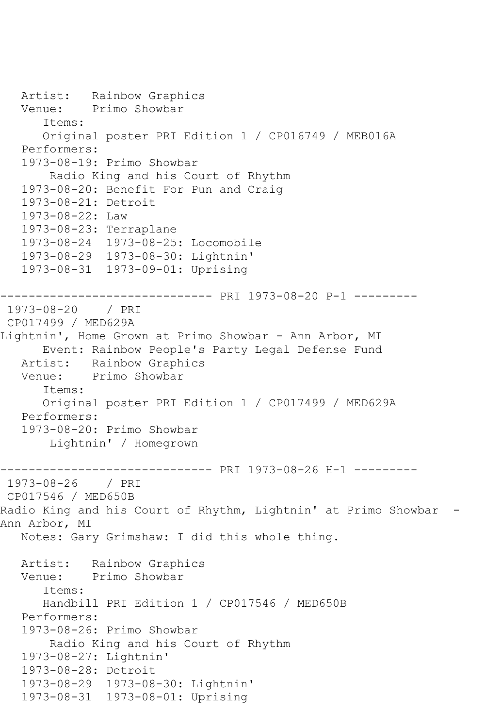Artist: Rainbow Graphics Venue: Primo Showbar Items: Original poster PRI Edition 1 / CP016749 / MEB016A Performers: 1973-08-19: Primo Showbar Radio King and his Court of Rhythm 1973-08-20: Benefit For Pun and Craig 1973-08-21: Detroit 1973-08-22: Law 1973-08-23: Terraplane 1973-08-24 1973-08-25: Locomobile 1973-08-29 1973-08-30: Lightnin' 1973-08-31 1973-09-01: Uprising ------------------------------ PRI 1973-08-20 P-1 --------- 1973-08-20 / PRI CP017499 / MED629A Lightnin', Home Grown at Primo Showbar - Ann Arbor, MI Event: Rainbow People's Party Legal Defense Fund Artist: Rainbow Graphics Venue: Primo Showbar Items: Original poster PRI Edition 1 / CP017499 / MED629A Performers: 1973-08-20: Primo Showbar Lightnin' / Homegrown ------------------------------ PRI 1973-08-26 H-1 --------- 1973-08-26 / PRI CP017546 / MED650B Radio King and his Court of Rhythm, Lightnin' at Primo Showbar -Ann Arbor, MI Notes: Gary Grimshaw: I did this whole thing. Artist: Rainbow Graphics Venue: Primo Showbar Items: Handbill PRI Edition 1 / CP017546 / MED650B Performers: 1973-08-26: Primo Showbar Radio King and his Court of Rhythm 1973-08-27: Lightnin' 1973-08-28: Detroit 1973-08-29 1973-08-30: Lightnin' 1973-08-31 1973-08-01: Uprising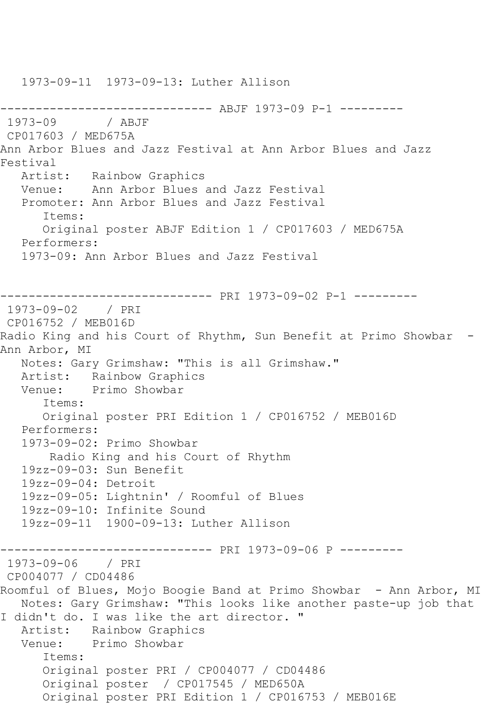1973-09-11 1973-09-13: Luther Allison ------------------------------ ABJF 1973-09 P-1 --------- / ABJF CP017603 / MED675A Ann Arbor Blues and Jazz Festival at Ann Arbor Blues and Jazz Festival<br>Artist: Rainbow Graphics Venue: Ann Arbor Blues and Jazz Festival Promoter: Ann Arbor Blues and Jazz Festival Items: Original poster ABJF Edition 1 / CP017603 / MED675A Performers: 1973-09: Ann Arbor Blues and Jazz Festival ------------------------------ PRI 1973-09-02 P-1 --------- 1973-09-02 / PRI CP016752 / MEB016D Radio King and his Court of Rhythm, Sun Benefit at Primo Showbar -Ann Arbor, MI Notes: Gary Grimshaw: "This is all Grimshaw." Artist: Rainbow Graphics<br>Venue: Primo Showbar Primo Showbar Items: Original poster PRI Edition 1 / CP016752 / MEB016D Performers: 1973-09-02: Primo Showbar Radio King and his Court of Rhythm 19zz-09-03: Sun Benefit 19zz-09-04: Detroit 19zz-09-05: Lightnin' / Roomful of Blues 19zz-09-10: Infinite Sound 19zz-09-11 1900-09-13: Luther Allison ------------------------------ PRI 1973-09-06 P --------- 1973-09-06 / PRI CP004077 / CD04486 Roomful of Blues, Mojo Boogie Band at Primo Showbar - Ann Arbor, MI Notes: Gary Grimshaw: "This looks like another paste-up job that I didn't do. I was like the art director. " Artist: Rainbow Graphics Venue: Primo Showbar Items: Original poster PRI / CP004077 / CD04486 Original poster / CP017545 / MED650A Original poster PRI Edition 1 / CP016753 / MEB016E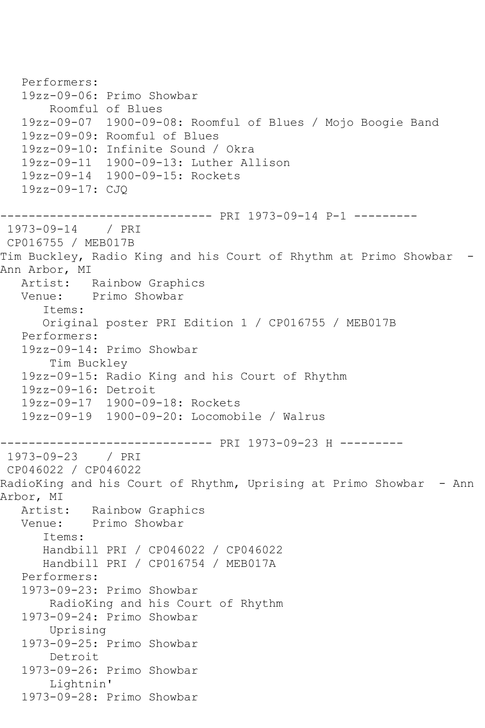Performers: 19zz-09-06: Primo Showbar Roomful of Blues 19zz-09-07 1900-09-08: Roomful of Blues / Mojo Boogie Band 19zz-09-09: Roomful of Blues 19zz-09-10: Infinite Sound / Okra 19zz-09-11 1900-09-13: Luther Allison 19zz-09-14 1900-09-15: Rockets 19zz-09-17: CJQ ------------------------------ PRI 1973-09-14 P-1 --------- 1973-09-14 / PRI CP016755 / MEB017B Tim Buckley, Radio King and his Court of Rhythm at Primo Showbar - Ann Arbor, MI<br>Artist: Rainbow Graphics Venue: Primo Showbar Items: Original poster PRI Edition 1 / CP016755 / MEB017B Performers: 19zz-09-14: Primo Showbar Tim Buckley 19zz-09-15: Radio King and his Court of Rhythm 19zz-09-16: Detroit 19zz-09-17 1900-09-18: Rockets 19zz-09-19 1900-09-20: Locomobile / Walrus ------------------------------ PRI 1973-09-23 H --------- 1973-09-23 / PRI CP046022 / CP046022 RadioKing and his Court of Rhythm, Uprising at Primo Showbar - Ann Arbor, MI Artist: Rainbow Graphics<br>Venue: Primo Showbar Primo Showbar Items: Handbill PRI / CP046022 / CP046022 Handbill PRI / CP016754 / MEB017A Performers: 1973-09-23: Primo Showbar RadioKing and his Court of Rhythm 1973-09-24: Primo Showbar Uprising 1973-09-25: Primo Showbar Detroit 1973-09-26: Primo Showbar Lightnin' 1973-09-28: Primo Showbar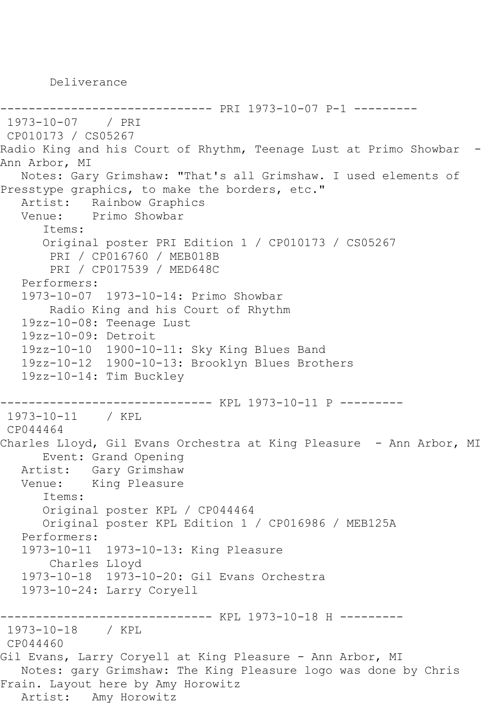Deliverance

```
------------------------------ PRI 1973-10-07 P-1 ---------
1973-10-07 / PRI 
CP010173 / CS05267
Radio King and his Court of Rhythm, Teenage Lust at Primo Showbar -
Ann Arbor, MI
   Notes: Gary Grimshaw: "That's all Grimshaw. I used elements of 
Presstype graphics, to make the borders, etc."
  Artist: Rainbow Graphics<br>Venue: Primo Showbar
            Primo Showbar
       Items:
       Original poster PRI Edition 1 / CP010173 / CS05267
        PRI / CP016760 / MEB018B
        PRI / CP017539 / MED648C
   Performers:
   1973-10-07 1973-10-14: Primo Showbar
        Radio King and his Court of Rhythm
    19zz-10-08: Teenage Lust
   19zz-10-09: Detroit
   19zz-10-10 1900-10-11: Sky King Blues Band
   19zz-10-12 1900-10-13: Brooklyn Blues Brothers
   19zz-10-14: Tim Buckley
------------------------------ KPL 1973-10-11 P ---------
1973-10-11 / KPL 
CP044464
Charles Lloyd, Gil Evans Orchestra at King Pleasure - Ann Arbor, MI
       Event: Grand Opening
   Artist: Gary Grimshaw
   Venue: King Pleasure
       Items:
       Original poster KPL / CP044464
       Original poster KPL Edition 1 / CP016986 / MEB125A
   Performers:
   1973-10-11 1973-10-13: King Pleasure
        Charles Lloyd
   1973-10-18 1973-10-20: Gil Evans Orchestra
   1973-10-24: Larry Coryell
   ------------------------------ KPL 1973-10-18 H ---------
1973-10-18 / KPL 
CP044460
Gil Evans, Larry Coryell at King Pleasure - Ann Arbor, MI
   Notes: gary Grimshaw: The King Pleasure logo was done by Chris 
Frain. Layout here by Amy Horowitz
   Artist: Amy Horowitz
```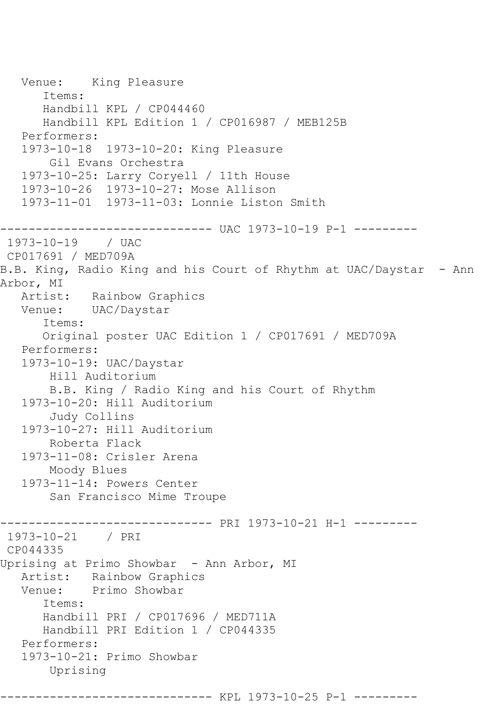```
 Venue: King Pleasure
       Items:
       Handbill KPL / CP044460
       Handbill KPL Edition 1 / CP016987 / MEB125B
    Performers:
    1973-10-18 1973-10-20: King Pleasure
        Gil Evans Orchestra
    1973-10-25: Larry Coryell / 11th House
    1973-10-26 1973-10-27: Mose Allison
    1973-11-01 1973-11-03: Lonnie Liston Smith
------------------------------ UAC 1973-10-19 P-1 ---------
1973-10-19 / UAC 
CP017691 / MED709A
B.B. King, Radio King and his Court of Rhythm at UAC/Daystar - Ann 
Arbor, MI
   Artist: Rainbow Graphics
   Venue: UAC/Daystar
       Items:
       Original poster UAC Edition 1 / CP017691 / MED709A
    Performers:
    1973-10-19: UAC/Daystar
        Hill Auditorium
        B.B. King / Radio King and his Court of Rhythm
    1973-10-20: Hill Auditorium
        Judy Collins
    1973-10-27: Hill Auditorium
        Roberta Flack
    1973-11-08: Crisler Arena
        Moody Blues
    1973-11-14: Powers Center
        San Francisco Mime Troupe
------------------------------ PRI 1973-10-21 H-1 ---------
1973-10-21 / PRI 
CP044335
Uprising at Primo Showbar - Ann Arbor, MI<br>Artist: Rainbow Graphics
            Rainbow Graphics
   Venue: Primo Showbar
       Items:
       Handbill PRI / CP017696 / MED711A
       Handbill PRI Edition 1 / CP044335
   Performers:
    1973-10-21: Primo Showbar
        Uprising
------------------------------ KPL 1973-10-25 P-1 ---------
```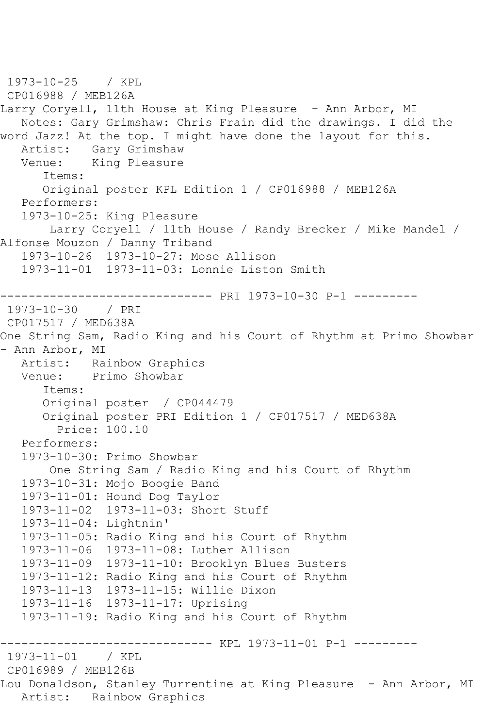```
1973-10-25 / KPL 
CP016988 / MEB126A
Larry Coryell, 11th House at King Pleasure - Ann Arbor, MI
   Notes: Gary Grimshaw: Chris Frain did the drawings. I did the 
word Jazz! At the top. I might have done the layout for this.
  Artist: Gary Grimshaw<br>Venue: King Pleasure
            King Pleasure
       Items:
       Original poster KPL Edition 1 / CP016988 / MEB126A
   Performers:
    1973-10-25: King Pleasure
        Larry Coryell / 11th House / Randy Brecker / Mike Mandel / 
Alfonse Mouzon / Danny Triband
   1973-10-26 1973-10-27: Mose Allison
   1973-11-01 1973-11-03: Lonnie Liston Smith
------------------------------ PRI 1973-10-30 P-1 ---------
1973-10-30 / PRI 
CP017517 / MED638A
One String Sam, Radio King and his Court of Rhythm at Primo Showbar 
- Ann Arbor, MI
  Artist: Rainbow Graphics<br>Venue: Primo Showbar
            Primo Showbar
       Items:
       Original poster / CP044479
       Original poster PRI Edition 1 / CP017517 / MED638A
         Price: 100.10
   Performers:
    1973-10-30: Primo Showbar
        One String Sam / Radio King and his Court of Rhythm
    1973-10-31: Mojo Boogie Band
   1973-11-01: Hound Dog Taylor
   1973-11-02 1973-11-03: Short Stuff
    1973-11-04: Lightnin'
    1973-11-05: Radio King and his Court of Rhythm
   1973-11-06 1973-11-08: Luther Allison
   1973-11-09 1973-11-10: Brooklyn Blues Busters
   1973-11-12: Radio King and his Court of Rhythm
   1973-11-13 1973-11-15: Willie Dixon
   1973-11-16 1973-11-17: Uprising
    1973-11-19: Radio King and his Court of Rhythm
------------------------------ KPL 1973-11-01 P-1 ---------
1973 - 11 - 01CP016989 / MEB126B
Lou Donaldson, Stanley Turrentine at King Pleasure - Ann Arbor, MI
   Artist: Rainbow Graphics
```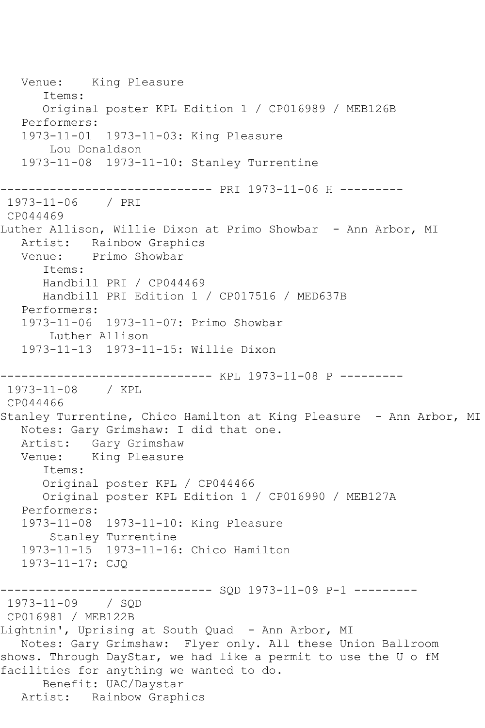Venue: King Pleasure Items: Original poster KPL Edition 1 / CP016989 / MEB126B Performers: 1973-11-01 1973-11-03: King Pleasure Lou Donaldson 1973-11-08 1973-11-10: Stanley Turrentine ------------------------------ PRI 1973-11-06 H --------- 1973-11-06 / PRI CP044469 Luther Allison, Willie Dixon at Primo Showbar - Ann Arbor, MI Artist: Rainbow Graphics Venue: Primo Showbar Items: Handbill PRI / CP044469 Handbill PRI Edition 1 / CP017516 / MED637B Performers: 1973-11-06 1973-11-07: Primo Showbar Luther Allison 1973-11-13 1973-11-15: Willie Dixon ------------------------------ KPL 1973-11-08 P --------- 1973-11-08 / KPL CP044466 Stanley Turrentine, Chico Hamilton at King Pleasure - Ann Arbor, MI Notes: Gary Grimshaw: I did that one. Artist: Gary Grimshaw Venue: King Pleasure Items: Original poster KPL / CP044466 Original poster KPL Edition 1 / CP016990 / MEB127A Performers: 1973-11-08 1973-11-10: King Pleasure Stanley Turrentine 1973-11-15 1973-11-16: Chico Hamilton 1973-11-17: CJQ ------------------------------ SQD 1973-11-09 P-1 --------- 1973-11-09 / SQD CP016981 / MEB122B Lightnin', Uprising at South Quad - Ann Arbor, MI Notes: Gary Grimshaw: Flyer only. All these Union Ballroom shows. Through DayStar, we had like a permit to use the U o fM facilities for anything we wanted to do. Benefit: UAC/Daystar Artist: Rainbow Graphics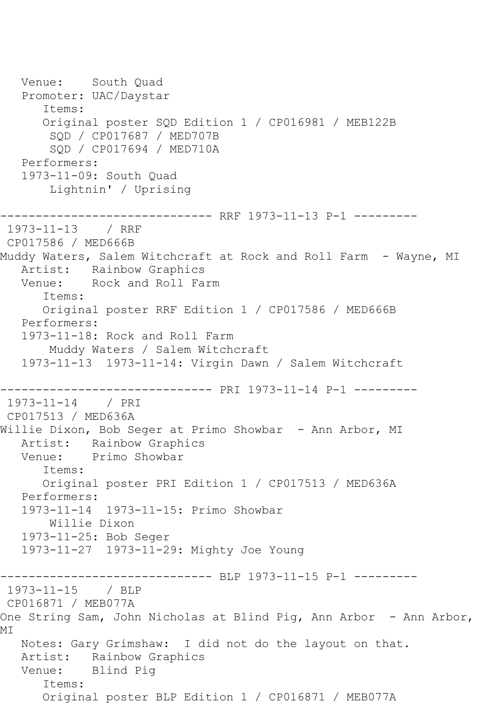Venue: South Quad Promoter: UAC/Daystar Items: Original poster SQD Edition 1 / CP016981 / MEB122B SQD / CP017687 / MED707B SQD / CP017694 / MED710A Performers: 1973-11-09: South Quad Lightnin' / Uprising ------------------------------ RRF 1973-11-13 P-1 --------- 1973-11-13 / RRF CP017586 / MED666B Muddy Waters, Salem Witchcraft at Rock and Roll Farm - Wayne, MI Artist: Rainbow Graphics Venue: Rock and Roll Farm Items: Original poster RRF Edition 1 / CP017586 / MED666B Performers: 1973-11-18: Rock and Roll Farm Muddy Waters / Salem Witchcraft 1973-11-13 1973-11-14: Virgin Dawn / Salem Witchcraft ------------------------------ PRI 1973-11-14 P-1 --------- 1973-11-14 / PRI CP017513 / MED636A Willie Dixon, Bob Seger at Primo Showbar - Ann Arbor, MI Artist: Rainbow Graphics Venue: Primo Showbar Items: Original poster PRI Edition 1 / CP017513 / MED636A Performers: 1973-11-14 1973-11-15: Primo Showbar Willie Dixon 1973-11-25: Bob Seger 1973-11-27 1973-11-29: Mighty Joe Young ------------ BLP 1973-11-15 P-1 ---------1973-11-15 / BLP CP016871 / MEB077A One String Sam, John Nicholas at Blind Pig, Ann Arbor - Ann Arbor, MI Notes: Gary Grimshaw: I did not do the layout on that. Artist: Rainbow Graphics Venue: Blind Pig Items: Original poster BLP Edition 1 / CP016871 / MEB077A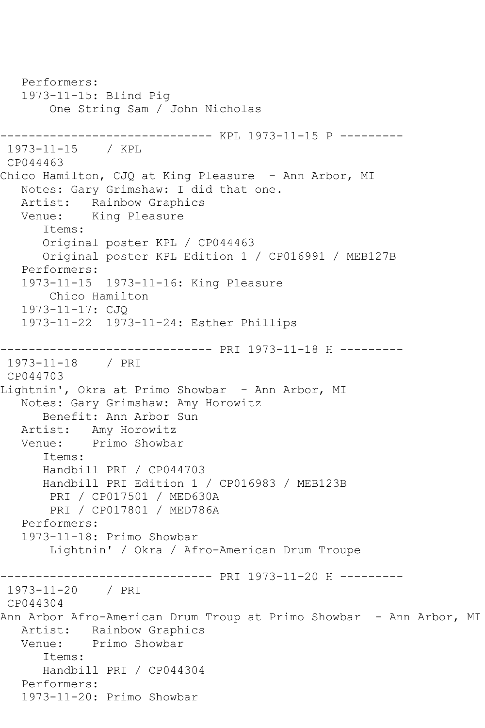Performers: 1973-11-15: Blind Pig One String Sam / John Nicholas ------------------------------ KPL 1973-11-15 P --------- 1973-11-15 / KPL CP044463 Chico Hamilton, CJQ at King Pleasure - Ann Arbor, MI Notes: Gary Grimshaw: I did that one. Artist: Rainbow Graphics Venue: King Pleasure Items: Original poster KPL / CP044463 Original poster KPL Edition 1 / CP016991 / MEB127B Performers: 1973-11-15 1973-11-16: King Pleasure Chico Hamilton 1973-11-17: CJQ 1973-11-22 1973-11-24: Esther Phillips ------------------------------ PRI 1973-11-18 H --------- 1973-11-18 / PRI CP044703 Lightnin', Okra at Primo Showbar - Ann Arbor, MI Notes: Gary Grimshaw: Amy Horowitz Benefit: Ann Arbor Sun Artist: Amy Horowitz Venue: Primo Showbar Items: Handbill PRI / CP044703 Handbill PRI Edition 1 / CP016983 / MEB123B PRI / CP017501 / MED630A PRI / CP017801 / MED786A Performers: 1973-11-18: Primo Showbar Lightnin' / Okra / Afro-American Drum Troupe ------------------------------ PRI 1973-11-20 H --------- 1973-11-20 / PRI CP044304 Ann Arbor Afro-American Drum Troup at Primo Showbar - Ann Arbor, MI Artist: Rainbow Graphics Venue: Primo Showbar Items: Handbill PRI / CP044304 Performers: 1973-11-20: Primo Showbar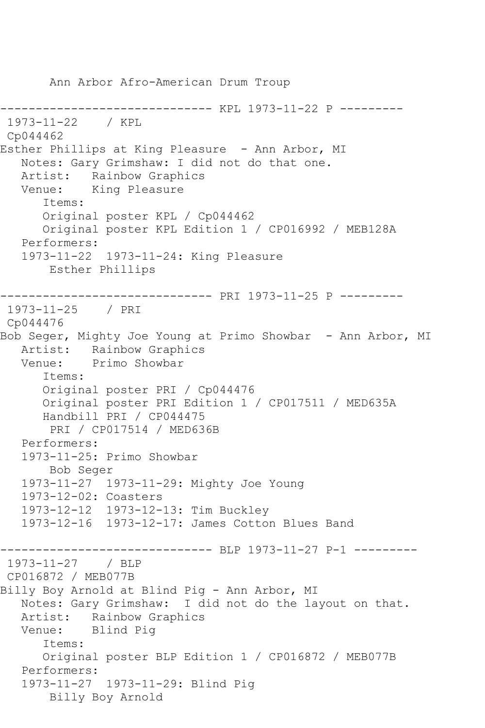Ann Arbor Afro-American Drum Troup ------------------------------ KPL 1973-11-22 P --------- 1973-11-22 / KPL Cp044462 Esther Phillips at King Pleasure - Ann Arbor, MI Notes: Gary Grimshaw: I did not do that one. Artist: Rainbow Graphics Venue: King Pleasure Items: Original poster KPL / Cp044462 Original poster KPL Edition 1 / CP016992 / MEB128A Performers: 1973-11-22 1973-11-24: King Pleasure Esther Phillips ------------------------------ PRI 1973-11-25 P --------- 1973-11-25 / PRI Cp044476 Bob Seger, Mighty Joe Young at Primo Showbar - Ann Arbor, MI Artist: Rainbow Graphics Venue: Primo Showbar Items: Original poster PRI / Cp044476 Original poster PRI Edition 1 / CP017511 / MED635A Handbill PRI / CP044475 PRI / CP017514 / MED636B Performers: 1973-11-25: Primo Showbar Bob Seger 1973-11-27 1973-11-29: Mighty Joe Young 1973-12-02: Coasters 1973-12-12 1973-12-13: Tim Buckley 1973-12-16 1973-12-17: James Cotton Blues Band ------------------------------ BLP 1973-11-27 P-1 --------- 1973-11-27 / BLP CP016872 / MEB077B Billy Boy Arnold at Blind Pig - Ann Arbor, MI Notes: Gary Grimshaw: I did not do the layout on that. Artist: Rainbow Graphics Venue: Blind Pig Items: Original poster BLP Edition 1 / CP016872 / MEB077B Performers: 1973-11-27 1973-11-29: Blind Pig Billy Boy Arnold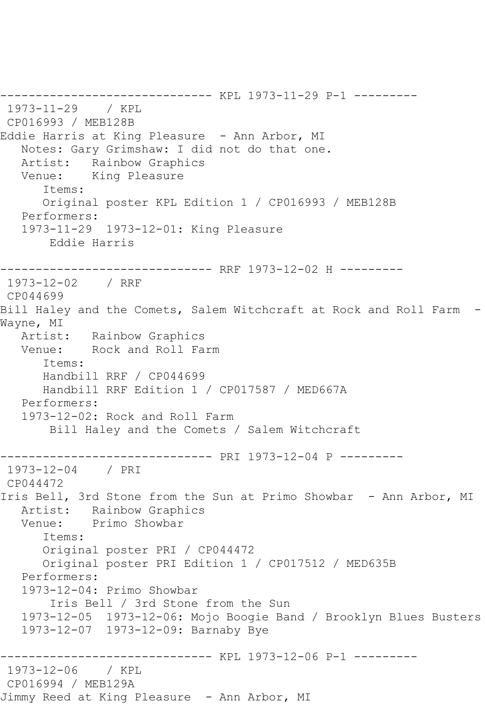------------------------------ KPL 1973-11-29 P-1 --------- 1973-11-29 / KPL CP016993 / MEB128B Eddie Harris at King Pleasure - Ann Arbor, MI Notes: Gary Grimshaw: I did not do that one. Artist: Rainbow Graphics Venue: King Pleasure Items: Original poster KPL Edition 1 / CP016993 / MEB128B Performers: 1973-11-29 1973-12-01: King Pleasure Eddie Harris ------------------------------ RRF 1973-12-02 H --------- 1973-12-02 / RRF CP044699 Bill Haley and the Comets, Salem Witchcraft at Rock and Roll Farm - Wayne, MI Artist: Rainbow Graphics Venue: Rock and Roll Farm Items: Handbill RRF / CP044699 Handbill RRF Edition 1 / CP017587 / MED667A Performers: 1973-12-02: Rock and Roll Farm Bill Haley and the Comets / Salem Witchcraft ------------------------------ PRI 1973-12-04 P --------- 1973-12-04 / PRI CP044472 Iris Bell, 3rd Stone from the Sun at Primo Showbar - Ann Arbor, MI Artist: Rainbow Graphics<br>Venue: Primo Showbar Primo Showbar Items: Original poster PRI / CP044472 Original poster PRI Edition 1 / CP017512 / MED635B Performers: 1973-12-04: Primo Showbar Iris Bell / 3rd Stone from the Sun 1973-12-05 1973-12-06: Mojo Boogie Band / Brooklyn Blues Busters 1973-12-07 1973-12-09: Barnaby Bye ------------------------------ KPL 1973-12-06 P-1 --------- 1973-12-06 / KPL CP016994 / MEB129A Jimmy Reed at King Pleasure - Ann Arbor, MI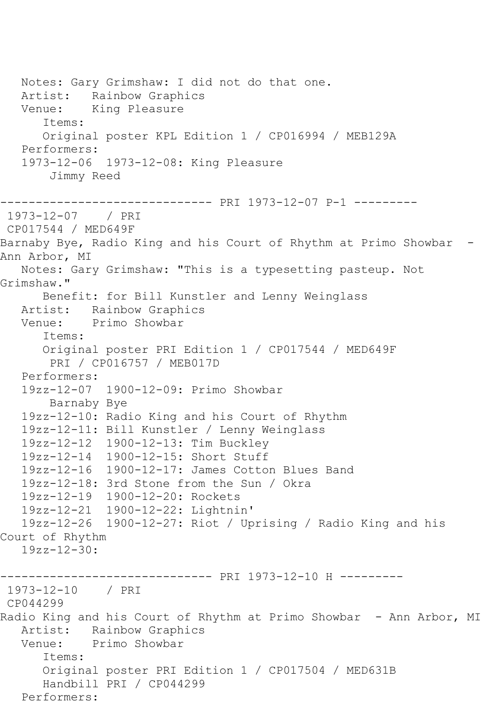Notes: Gary Grimshaw: I did not do that one. Artist: Rainbow Graphics Venue: King Pleasure Items: Original poster KPL Edition 1 / CP016994 / MEB129A Performers: 1973-12-06 1973-12-08: King Pleasure Jimmy Reed ------------------------------ PRI 1973-12-07 P-1 --------- 1973-12-07 / PRI CP017544 / MED649F Barnaby Bye, Radio King and his Court of Rhythm at Primo Showbar - Ann Arbor, MI Notes: Gary Grimshaw: "This is a typesetting pasteup. Not Grimshaw." Benefit: for Bill Kunstler and Lenny Weinglass Artist: Rainbow Graphics Venue: Primo Showbar Items: Original poster PRI Edition 1 / CP017544 / MED649F PRI / CP016757 / MEB017D Performers: 19zz-12-07 1900-12-09: Primo Showbar Barnaby Bye 19zz-12-10: Radio King and his Court of Rhythm 19zz-12-11: Bill Kunstler / Lenny Weinglass 19zz-12-12 1900-12-13: Tim Buckley 19zz-12-14 1900-12-15: Short Stuff 19zz-12-16 1900-12-17: James Cotton Blues Band 19zz-12-18: 3rd Stone from the Sun / Okra 19zz-12-19 1900-12-20: Rockets 19zz-12-21 1900-12-22: Lightnin' 19zz-12-26 1900-12-27: Riot / Uprising / Radio King and his Court of Rhythm 19zz-12-30: ------------------------------ PRI 1973-12-10 H --------- 1973-12-10 / PRI CP044299 Radio King and his Court of Rhythm at Primo Showbar - Ann Arbor, MI Artist: Rainbow Graphics Venue: Primo Showbar Items: Original poster PRI Edition 1 / CP017504 / MED631B Handbill PRI / CP044299 Performers: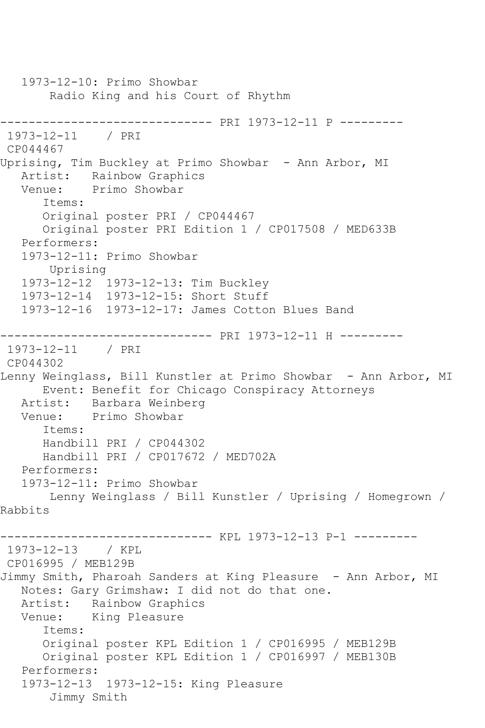1973-12-10: Primo Showbar Radio King and his Court of Rhythm ------------------------------ PRI 1973-12-11 P --------- 1973-12-11 / PRI CP044467 Uprising, Tim Buckley at Primo Showbar - Ann Arbor, MI Artist: Rainbow Graphics Venue: Primo Showbar Items: Original poster PRI / CP044467 Original poster PRI Edition 1 / CP017508 / MED633B Performers: 1973-12-11: Primo Showbar Uprising 1973-12-12 1973-12-13: Tim Buckley 1973-12-14 1973-12-15: Short Stuff 1973-12-16 1973-12-17: James Cotton Blues Band ------------------------------ PRI 1973-12-11 H --------- 1973-12-11 / PRI CP044302 Lenny Weinglass, Bill Kunstler at Primo Showbar - Ann Arbor, MI Event: Benefit for Chicago Conspiracy Attorneys Artist: Barbara Weinberg<br>Venue: Primo Showbar Primo Showbar Items: Handbill PRI / CP044302 Handbill PRI / CP017672 / MED702A Performers: 1973-12-11: Primo Showbar Lenny Weinglass / Bill Kunstler / Uprising / Homegrown / Rabbits ------------------------------ KPL 1973-12-13 P-1 --------- 1973-12-13 / KPL CP016995 / MEB129B Jimmy Smith, Pharoah Sanders at King Pleasure - Ann Arbor, MI Notes: Gary Grimshaw: I did not do that one. Artist: Rainbow Graphics Venue: King Pleasure Items: Original poster KPL Edition 1 / CP016995 / MEB129B Original poster KPL Edition 1 / CP016997 / MEB130B Performers: 1973-12-13 1973-12-15: King Pleasure Jimmy Smith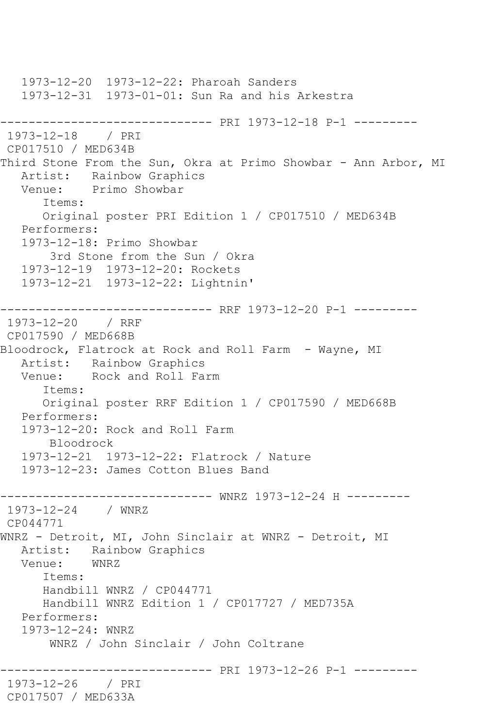1973-12-20 1973-12-22: Pharoah Sanders 1973-12-31 1973-01-01: Sun Ra and his Arkestra ------------------------------ PRI 1973-12-18 P-1 --------- 1973-12-18 / PRI CP017510 / MED634B Third Stone From the Sun, Okra at Primo Showbar - Ann Arbor, MI Artist: Rainbow Graphics Venue: Primo Showbar Items: Original poster PRI Edition 1 / CP017510 / MED634B Performers: 1973-12-18: Primo Showbar 3rd Stone from the Sun / Okra 1973-12-19 1973-12-20: Rockets 1973-12-21 1973-12-22: Lightnin' ------------------------------ RRF 1973-12-20 P-1 --------- 1973-12-20 / RRF CP017590 / MED668B Bloodrock, Flatrock at Rock and Roll Farm - Wayne, MI Artist: Rainbow Graphics Venue: Rock and Roll Farm Items: Original poster RRF Edition 1 / CP017590 / MED668B Performers: 1973-12-20: Rock and Roll Farm Bloodrock 1973-12-21 1973-12-22: Flatrock / Nature 1973-12-23: James Cotton Blues Band ------------------------------ WNRZ 1973-12-24 H --------- 1973-12-24 / WNRZ CP044771 WNRZ - Detroit, MI, John Sinclair at WNRZ - Detroit, MI Artist: Rainbow Graphics<br>Venue: WNRZ Venue: Items: Handbill WNRZ / CP044771 Handbill WNRZ Edition 1 / CP017727 / MED735A Performers: 1973-12-24: WNRZ WNRZ / John Sinclair / John Coltrane ------------------------------ PRI 1973-12-26 P-1 --------- 1973-12-26 / PRI CP017507 / MED633A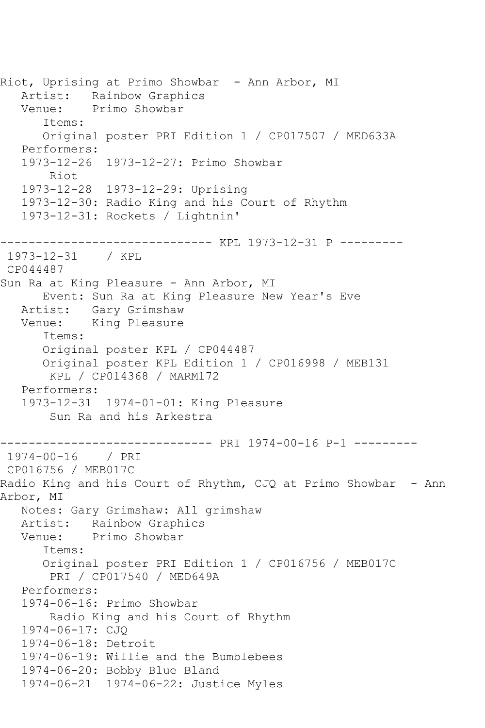Riot, Uprising at Primo Showbar - Ann Arbor, MI Artist: Rainbow Graphics Venue: Primo Showbar Items: Original poster PRI Edition 1 / CP017507 / MED633A Performers: 1973-12-26 1973-12-27: Primo Showbar Riot 1973-12-28 1973-12-29: Uprising 1973-12-30: Radio King and his Court of Rhythm 1973-12-31: Rockets / Lightnin' ------------------------------ KPL 1973-12-31 P --------- 1973-12-31 / KPL CP044487 Sun Ra at King Pleasure - Ann Arbor, MI Event: Sun Ra at King Pleasure New Year's Eve Artist: Gary Grimshaw Venue: King Pleasure Items: Original poster KPL / CP044487 Original poster KPL Edition 1 / CP016998 / MEB131 KPL / CP014368 / MARM172 Performers: 1973-12-31 1974-01-01: King Pleasure Sun Ra and his Arkestra ------------------------------ PRI 1974-00-16 P-1 --------- 1974-00-16 / PRI CP016756 / MEB017C Radio King and his Court of Rhythm, CJQ at Primo Showbar - Ann Arbor, MI Notes: Gary Grimshaw: All grimshaw Artist: Rainbow Graphics Venue: Primo Showbar Items: Original poster PRI Edition 1 / CP016756 / MEB017C PRI / CP017540 / MED649A Performers: 1974-06-16: Primo Showbar Radio King and his Court of Rhythm 1974-06-17: CJQ 1974-06-18: Detroit 1974-06-19: Willie and the Bumblebees 1974-06-20: Bobby Blue Bland 1974-06-21 1974-06-22: Justice Myles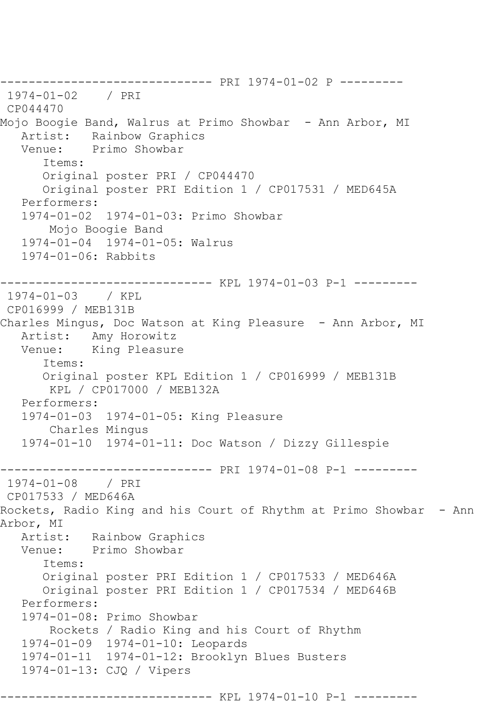------------------------------ PRI 1974-01-02 P --------- 1974-01-02 / PRI CP044470 Mojo Boogie Band, Walrus at Primo Showbar - Ann Arbor, MI Artist: Rainbow Graphics Venue: Primo Showbar Items: Original poster PRI / CP044470 Original poster PRI Edition 1 / CP017531 / MED645A Performers: 1974-01-02 1974-01-03: Primo Showbar Mojo Boogie Band 1974-01-04 1974-01-05: Walrus 1974-01-06: Rabbits ------------------------------ KPL 1974-01-03 P-1 --------- 1974-01-03 / KPL CP016999 / MEB131B Charles Mingus, Doc Watson at King Pleasure - Ann Arbor, MI Artist: Amy Horowitz<br>Venue: King Pleasur King Pleasure Items: Original poster KPL Edition 1 / CP016999 / MEB131B KPL / CP017000 / MEB132A Performers: 1974-01-03 1974-01-05: King Pleasure Charles Mingus 1974-01-10 1974-01-11: Doc Watson / Dizzy Gillespie ------------------------------ PRI 1974-01-08 P-1 --------- 1974-01-08 / PRI CP017533 / MED646A Rockets, Radio King and his Court of Rhythm at Primo Showbar - Ann Arbor, MI Artist: Rainbow Graphics Venue: Primo Showbar Items: Original poster PRI Edition 1 / CP017533 / MED646A Original poster PRI Edition 1 / CP017534 / MED646B Performers: 1974-01-08: Primo Showbar Rockets / Radio King and his Court of Rhythm 1974-01-09 1974-01-10: Leopards 1974-01-11 1974-01-12: Brooklyn Blues Busters 1974-01-13: CJQ / Vipers ------------------------------ KPL 1974-01-10 P-1 ---------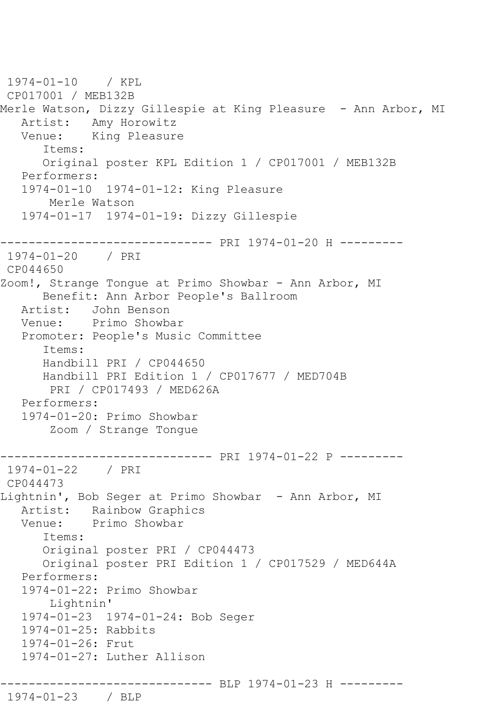1974-01-10 / KPL CP017001 / MEB132B Merle Watson, Dizzy Gillespie at King Pleasure - Ann Arbor, MI Artist: Amy Horowitz<br>Venue: King Pleasur King Pleasure Items: Original poster KPL Edition 1 / CP017001 / MEB132B Performers: 1974-01-10 1974-01-12: King Pleasure Merle Watson 1974-01-17 1974-01-19: Dizzy Gillespie ------------------------------ PRI 1974-01-20 H --------- 1974-01-20 / PRI CP044650 Zoom!, Strange Tongue at Primo Showbar - Ann Arbor, MI Benefit: Ann Arbor People's Ballroom Artist: John Benson Venue: Primo Showbar Promoter: People's Music Committee Items: Handbill PRI / CP044650 Handbill PRI Edition 1 / CP017677 / MED704B PRI / CP017493 / MED626A Performers: 1974-01-20: Primo Showbar Zoom / Strange Tongue ------------------------------ PRI 1974-01-22 P --------- 1974-01-22 / PRI CP044473 Lightnin', Bob Seger at Primo Showbar - Ann Arbor, MI Artist: Rainbow Graphics<br>Venue: Primo Showbar Primo Showbar Items: Original poster PRI / CP044473 Original poster PRI Edition 1 / CP017529 / MED644A Performers: 1974-01-22: Primo Showbar Lightnin' 1974-01-23 1974-01-24: Bob Seger 1974-01-25: Rabbits 1974-01-26: Frut 1974-01-27: Luther Allison ------------------------------ BLP 1974-01-23 H --------- 1974-01-23 / BLP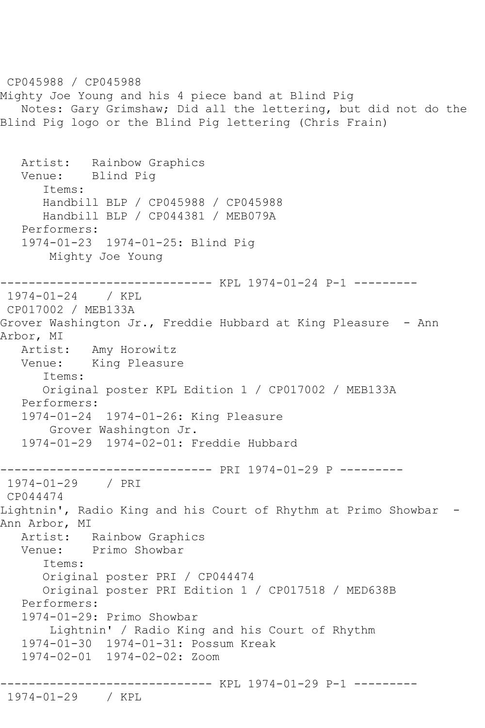CP045988 / CP045988 Mighty Joe Young and his 4 piece band at Blind Pig Notes: Gary Grimshaw; Did all the lettering, but did not do the Blind Pig logo or the Blind Pig lettering (Chris Frain) Artist: Rainbow Graphics Venue: Blind Pig Items: Handbill BLP / CP045988 / CP045988 Handbill BLP / CP044381 / MEB079A Performers: 1974-01-23 1974-01-25: Blind Pig Mighty Joe Young ------------------------------ KPL 1974-01-24 P-1 --------- 1974-01-24 / KPL CP017002 / MEB133A Grover Washington Jr., Freddie Hubbard at King Pleasure - Ann Arbor, MI Artist: Amy Horowitz Venue: King Pleasure Items: Original poster KPL Edition 1 / CP017002 / MEB133A Performers: 1974-01-24 1974-01-26: King Pleasure Grover Washington Jr. 1974-01-29 1974-02-01: Freddie Hubbard ------------------------------ PRI 1974-01-29 P --------- 1974-01-29 / PRI CP044474 Lightnin', Radio King and his Court of Rhythm at Primo Showbar -Ann Arbor, MI Artist: Rainbow Graphics Venue: Primo Showbar Items: Original poster PRI / CP044474 Original poster PRI Edition 1 / CP017518 / MED638B Performers: 1974-01-29: Primo Showbar Lightnin' / Radio King and his Court of Rhythm 1974-01-30 1974-01-31: Possum Kreak 1974-02-01 1974-02-02: Zoom ------------------------------ KPL 1974-01-29 P-1 --------- 1974-01-29 / KPL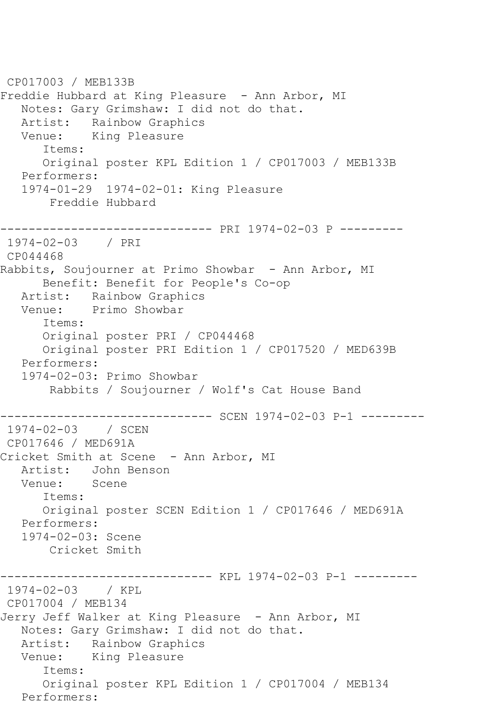CP017003 / MEB133B Freddie Hubbard at King Pleasure - Ann Arbor, MI Notes: Gary Grimshaw: I did not do that. Artist: Rainbow Graphics<br>Venue: King Pleasure King Pleasure Items: Original poster KPL Edition 1 / CP017003 / MEB133B Performers: 1974-01-29 1974-02-01: King Pleasure Freddie Hubbard ------------------------------ PRI 1974-02-03 P --------- 1974-02-03 / PRI CP044468 Rabbits, Soujourner at Primo Showbar - Ann Arbor, MI Benefit: Benefit for People's Co-op Artist: Rainbow Graphics<br>Venue: Primo Showbar Primo Showbar Items: Original poster PRI / CP044468 Original poster PRI Edition 1 / CP017520 / MED639B Performers: 1974-02-03: Primo Showbar Rabbits / Soujourner / Wolf's Cat House Band ------------------------------ SCEN 1974-02-03 P-1 --------- 1974-02-03 / SCEN CP017646 / MED691A Cricket Smith at Scene - Ann Arbor, MI Artist: John Benson Venue: Scene Items: Original poster SCEN Edition 1 / CP017646 / MED691A Performers: 1974-02-03: Scene Cricket Smith ------------------------------ KPL 1974-02-03 P-1 --------- 1974-02-03 / KPL CP017004 / MEB134 Jerry Jeff Walker at King Pleasure - Ann Arbor, MI Notes: Gary Grimshaw: I did not do that. Artist: Rainbow Graphics Venue: King Pleasure Items: Original poster KPL Edition 1 / CP017004 / MEB134 Performers: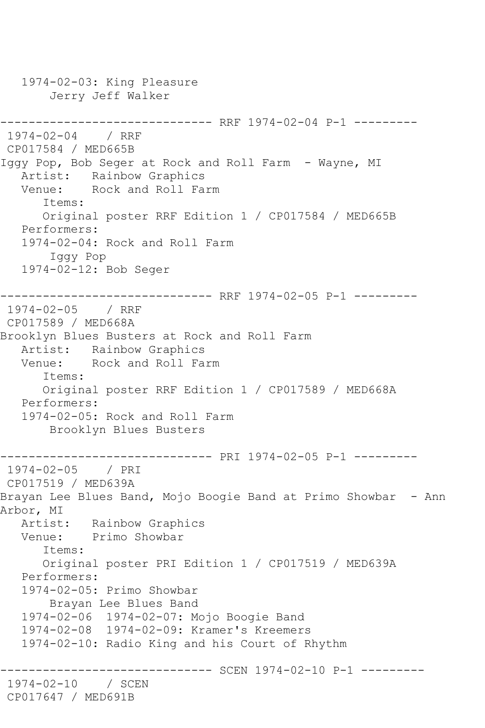1974-02-03: King Pleasure Jerry Jeff Walker ------------------------------ RRF 1974-02-04 P-1 --------- 1974-02-04 / RRF CP017584 / MED665B Iggy Pop, Bob Seger at Rock and Roll Farm - Wayne, MI Artist: Rainbow Graphics Venue: Rock and Roll Farm Items: Original poster RRF Edition 1 / CP017584 / MED665B Performers: 1974-02-04: Rock and Roll Farm Iggy Pop 1974-02-12: Bob Seger ----------------------------- RRF 1974-02-05 P-1 ---------1974-02-05 / RRF CP017589 / MED668A Brooklyn Blues Busters at Rock and Roll Farm Artist: Rainbow Graphics Venue: Rock and Roll Farm Items: Original poster RRF Edition 1 / CP017589 / MED668A Performers: 1974-02-05: Rock and Roll Farm Brooklyn Blues Busters ------------------------------ PRI 1974-02-05 P-1 --------- 1974-02-05 / PRI CP017519 / MED639A Brayan Lee Blues Band, Mojo Boogie Band at Primo Showbar - Ann Arbor, MI Artist: Rainbow Graphics Venue: Primo Showbar Items: Original poster PRI Edition 1 / CP017519 / MED639A Performers: 1974-02-05: Primo Showbar Brayan Lee Blues Band 1974-02-06 1974-02-07: Mojo Boogie Band 1974-02-08 1974-02-09: Kramer's Kreemers 1974-02-10: Radio King and his Court of Rhythm ------------------------------ SCEN 1974-02-10 P-1 --------- 1974-02-10 / SCEN CP017647 / MED691B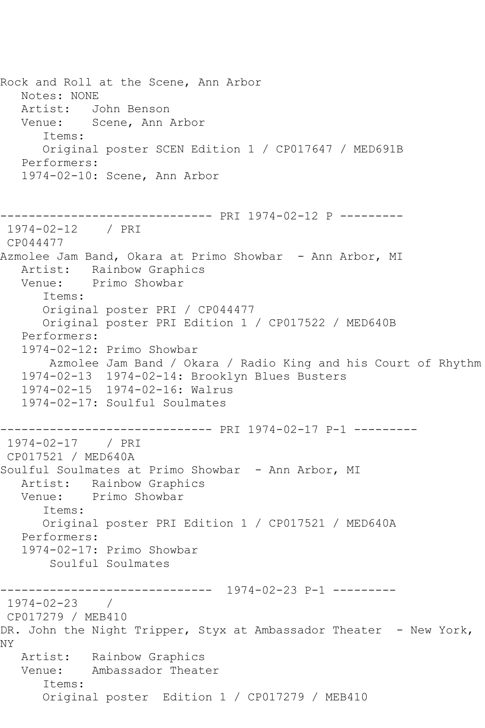Rock and Roll at the Scene, Ann Arbor Notes: NONE Artist: John Benson Venue: Scene, Ann Arbor Items: Original poster SCEN Edition 1 / CP017647 / MED691B Performers: 1974-02-10: Scene, Ann Arbor ------------------------------ PRI 1974-02-12 P --------- 1974-02-12 / PRI CP044477 Azmolee Jam Band, Okara at Primo Showbar - Ann Arbor, MI Artist: Rainbow Graphics Venue: Primo Showbar Items: Original poster PRI / CP044477 Original poster PRI Edition 1 / CP017522 / MED640B Performers: 1974-02-12: Primo Showbar Azmolee Jam Band / Okara / Radio King and his Court of Rhythm 1974-02-13 1974-02-14: Brooklyn Blues Busters 1974-02-15 1974-02-16: Walrus 1974-02-17: Soulful Soulmates ------------------------------ PRI 1974-02-17 P-1 --------- 1974-02-17 / PRI CP017521 / MED640A Soulful Soulmates at Primo Showbar - Ann Arbor, MI Artist: Rainbow Graphics Venue: Primo Showbar Items: Original poster PRI Edition 1 / CP017521 / MED640A Performers: 1974-02-17: Primo Showbar Soulful Soulmates ------------------------------ 1974-02-23 P-1 --------- 1974-02-23 / CP017279 / MEB410 DR. John the Night Tripper, Styx at Ambassador Theater - New York, NY Artist: Rainbow Graphics Venue: Ambassador Theater Items: Original poster Edition 1 / CP017279 / MEB410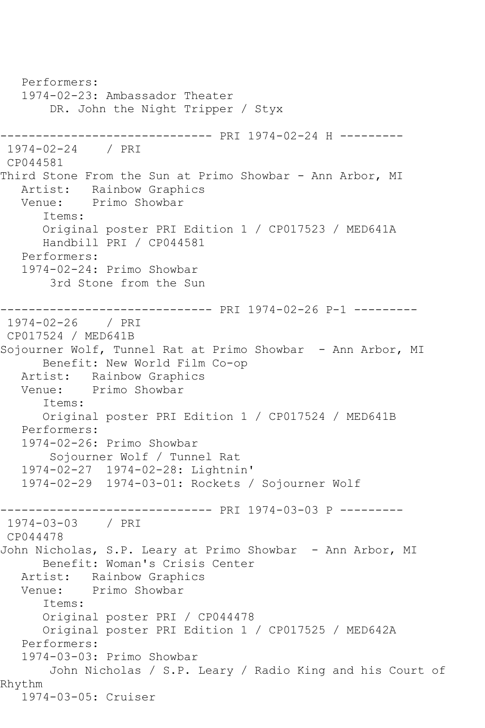Performers: 1974-02-23: Ambassador Theater DR. John the Night Tripper / Styx ------------------------------ PRI 1974-02-24 H --------- 1974-02-24 / PRI CP044581 Third Stone From the Sun at Primo Showbar - Ann Arbor, MI Artist: Rainbow Graphics Venue: Primo Showbar Items: Original poster PRI Edition 1 / CP017523 / MED641A Handbill PRI / CP044581 Performers: 1974-02-24: Primo Showbar 3rd Stone from the Sun ------------------------------ PRI 1974-02-26 P-1 --------- 1974-02-26 / PRI CP017524 / MED641B Sojourner Wolf, Tunnel Rat at Primo Showbar - Ann Arbor, MI Benefit: New World Film Co-op Artist: Rainbow Graphics<br>Venue: Primo Showbar Primo Showbar Items: Original poster PRI Edition 1 / CP017524 / MED641B Performers: 1974-02-26: Primo Showbar Sojourner Wolf / Tunnel Rat 1974-02-27 1974-02-28: Lightnin' 1974-02-29 1974-03-01: Rockets / Sojourner Wolf ------------------------------ PRI 1974-03-03 P --------- 1974-03-03 / PRI CP044478 John Nicholas, S.P. Leary at Primo Showbar - Ann Arbor, MI Benefit: Woman's Crisis Center Artist: Rainbow Graphics Venue: Primo Showbar Items: Original poster PRI / CP044478 Original poster PRI Edition 1 / CP017525 / MED642A Performers: 1974-03-03: Primo Showbar John Nicholas / S.P. Leary / Radio King and his Court of Rhythm 1974-03-05: Cruiser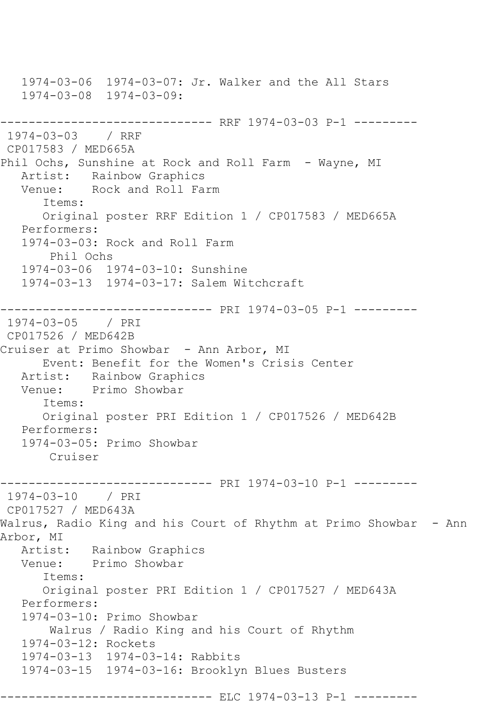1974-03-06 1974-03-07: Jr. Walker and the All Stars 1974-03-08 1974-03-09: ----------------------------- RRF 1974-03-03 P-1 ---------1974-03-03 / RRF CP017583 / MED665A Phil Ochs, Sunshine at Rock and Roll Farm - Wayne, MI Artist: Rainbow Graphics Venue: Rock and Roll Farm Items: Original poster RRF Edition 1 / CP017583 / MED665A Performers: 1974-03-03: Rock and Roll Farm Phil Ochs 1974-03-06 1974-03-10: Sunshine 1974-03-13 1974-03-17: Salem Witchcraft ------------------------------ PRI 1974-03-05 P-1 --------- 1974-03-05 / PRI CP017526 / MED642B Cruiser at Primo Showbar - Ann Arbor, MI Event: Benefit for the Women's Crisis Center Artist: Rainbow Graphics<br>Venue: Primo Showbar Primo Showbar Items: Original poster PRI Edition 1 / CP017526 / MED642B Performers: 1974-03-05: Primo Showbar Cruiser ------------------------------ PRI 1974-03-10 P-1 --------- 1974-03-10 / PRI CP017527 / MED643A Walrus, Radio King and his Court of Rhythm at Primo Showbar - Ann Arbor, MI Artist: Rainbow Graphics Venue: Primo Showbar Items: Original poster PRI Edition 1 / CP017527 / MED643A Performers: 1974-03-10: Primo Showbar Walrus / Radio King and his Court of Rhythm 1974-03-12: Rockets 1974-03-13 1974-03-14: Rabbits 1974-03-15 1974-03-16: Brooklyn Blues Busters ------------------------------ ELC 1974-03-13 P-1 ---------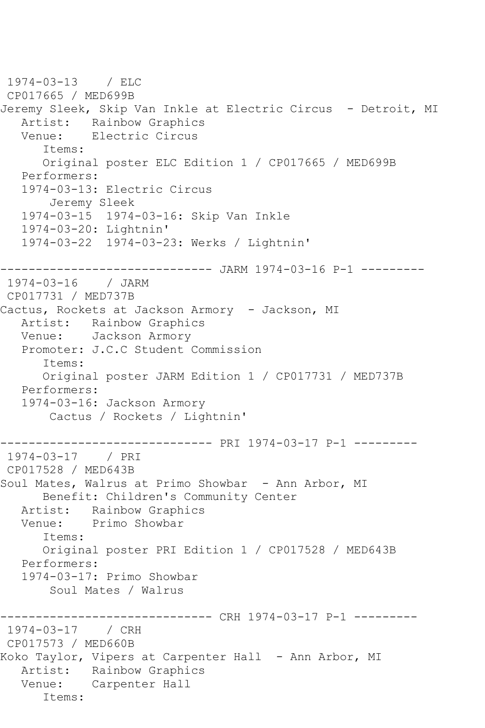1974-03-13 / ELC CP017665 / MED699B Jeremy Sleek, Skip Van Inkle at Electric Circus - Detroit, MI Artist: Rainbow Graphics<br>Venue: Electric Circus Electric Circus Items: Original poster ELC Edition 1 / CP017665 / MED699B Performers: 1974-03-13: Electric Circus Jeremy Sleek 1974-03-15 1974-03-16: Skip Van Inkle 1974-03-20: Lightnin' 1974-03-22 1974-03-23: Werks / Lightnin' ------------------------------ JARM 1974-03-16 P-1 --------- 1974-03-16 / JARM CP017731 / MED737B Cactus, Rockets at Jackson Armory - Jackson, MI Artist: Rainbow Graphics Venue: Jackson Armory Promoter: J.C.C Student Commission Items: Original poster JARM Edition 1 / CP017731 / MED737B Performers: 1974-03-16: Jackson Armory Cactus / Rockets / Lightnin' ------------------------------ PRI 1974-03-17 P-1 --------- 1974-03-17 / PRI CP017528 / MED643B Soul Mates, Walrus at Primo Showbar - Ann Arbor, MI Benefit: Children's Community Center Artist: Rainbow Graphics<br>Venue: Primo Showbar Primo Showbar Items: Original poster PRI Edition 1 / CP017528 / MED643B Performers: 1974-03-17: Primo Showbar Soul Mates / Walrus ----------- CRH 1974-03-17 P-1 ---------1974-03-17 / CRH CP017573 / MED660B Koko Taylor, Vipers at Carpenter Hall - Ann Arbor, MI Artist: Rainbow Graphics Venue: Carpenter Hall Items: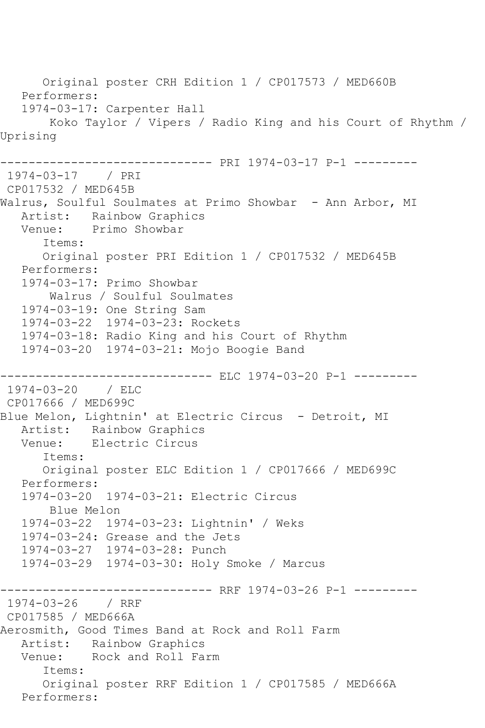Original poster CRH Edition 1 / CP017573 / MED660B Performers: 1974-03-17: Carpenter Hall Koko Taylor / Vipers / Radio King and his Court of Rhythm / Uprising ------------------------------ PRI 1974-03-17 P-1 --------- 1974-03-17 / PRI CP017532 / MED645B Walrus, Soulful Soulmates at Primo Showbar - Ann Arbor, MI Artist: Rainbow Graphics Venue: Primo Showbar Items: Original poster PRI Edition 1 / CP017532 / MED645B Performers: 1974-03-17: Primo Showbar Walrus / Soulful Soulmates 1974-03-19: One String Sam 1974-03-22 1974-03-23: Rockets 1974-03-18: Radio King and his Court of Rhythm 1974-03-20 1974-03-21: Mojo Boogie Band --------------- ELC 1974-03-20 P-1 ---------1974-03-20 / ELC CP017666 / MED699C Blue Melon, Lightnin' at Electric Circus - Detroit, MI Artist: Rainbow Graphics<br>Venue: Electric Circus Electric Circus Items: Original poster ELC Edition 1 / CP017666 / MED699C Performers: 1974-03-20 1974-03-21: Electric Circus Blue Melon 1974-03-22 1974-03-23: Lightnin' / Weks 1974-03-24: Grease and the Jets 1974-03-27 1974-03-28: Punch 1974-03-29 1974-03-30: Holy Smoke / Marcus ------------------------------ RRF 1974-03-26 P-1 --------- 1974-03-26 / RRF CP017585 / MED666A Aerosmith, Good Times Band at Rock and Roll Farm Artist: Rainbow Graphics<br>Venue: Rock and Roll Fa Rock and Roll Farm Items: Original poster RRF Edition 1 / CP017585 / MED666A Performers: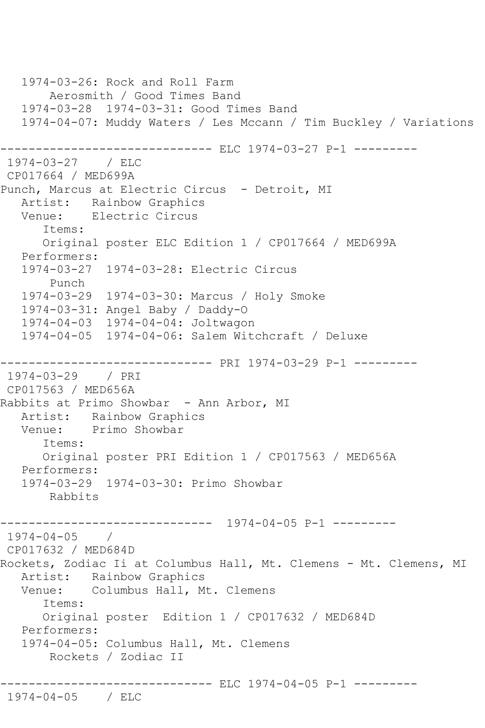```
 1974-03-26: Rock and Roll Farm
        Aerosmith / Good Times Band
    1974-03-28 1974-03-31: Good Times Band
    1974-04-07: Muddy Waters / Les Mccann / Tim Buckley / Variations
                   ------------ ELC 1974-03-27 P-1 ---------
1974-03-27 / ELC 
CP017664 / MED699A
Punch, Marcus at Electric Circus - Detroit, MI
  Artist: Rainbow Graphics<br>Venue: Electric Circus
           Electric Circus
       Items:
       Original poster ELC Edition 1 / CP017664 / MED699A
   Performers:
   1974-03-27 1974-03-28: Electric Circus
       Punch
   1974-03-29 1974-03-30: Marcus / Holy Smoke
   1974-03-31: Angel Baby / Daddy-O
   1974-04-03 1974-04-04: Joltwagon
   1974-04-05 1974-04-06: Salem Witchcraft / Deluxe
                     ------------------------------ PRI 1974-03-29 P-1 ---------
1974-03-29 / PRI 
CP017563 / MED656A
Rabbits at Primo Showbar - Ann Arbor, MI
   Artist: Rainbow Graphics
   Venue: Primo Showbar
       Items:
       Original poster PRI Edition 1 / CP017563 / MED656A
   Performers:
   1974-03-29 1974-03-30: Primo Showbar
        Rabbits
         ------------------------------ 1974-04-05 P-1 ---------
1974-04-05 / 
CP017632 / MED684D
Rockets, Zodiac Ii at Columbus Hall, Mt. Clemens - Mt. Clemens, MI
   Artist: Rainbow Graphics
   Venue: Columbus Hall, Mt. Clemens
       Items:
       Original poster Edition 1 / CP017632 / MED684D
   Performers:
    1974-04-05: Columbus Hall, Mt. Clemens
        Rockets / Zodiac II
              ------------------------------ ELC 1974-04-05 P-1 ---------
1974-04-05 / ELC
```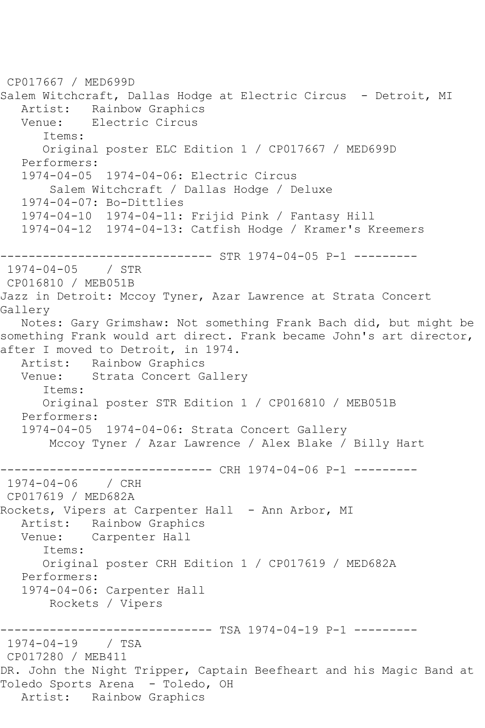```
CP017667 / MED699D
Salem Witchcraft, Dallas Hodge at Electric Circus - Detroit, MI
   Artist: Rainbow Graphics
   Venue: Electric Circus
       Items:
       Original poster ELC Edition 1 / CP017667 / MED699D
   Performers:
   1974-04-05 1974-04-06: Electric Circus
        Salem Witchcraft / Dallas Hodge / Deluxe
   1974-04-07: Bo-Dittlies
   1974-04-10 1974-04-11: Frijid Pink / Fantasy Hill
   1974-04-12 1974-04-13: Catfish Hodge / Kramer's Kreemers
------------------------------ STR 1974-04-05 P-1 ---------
1974-04-05 / STR 
CP016810 / MEB051B
Jazz in Detroit: Mccoy Tyner, Azar Lawrence at Strata Concert 
Gallery
   Notes: Gary Grimshaw: Not something Frank Bach did, but might be 
something Frank would art direct. Frank became John's art director, 
after I moved to Detroit, in 1974.<br>Artist: Rainbow Graphics
           Rainbow Graphics
   Venue: Strata Concert Gallery
       Items:
      Original poster STR Edition 1 / CP016810 / MEB051B
   Performers:
   1974-04-05 1974-04-06: Strata Concert Gallery
        Mccoy Tyner / Azar Lawrence / Alex Blake / Billy Hart
------------------------------ CRH 1974-04-06 P-1 ---------
1974-04-06 / CRH 
CP017619 / MED682A
Rockets, Vipers at Carpenter Hall - Ann Arbor, MI
   Artist: Rainbow Graphics
   Venue: Carpenter Hall
      Items:
      Original poster CRH Edition 1 / CP017619 / MED682A
   Performers:
   1974-04-06: Carpenter Hall
        Rockets / Vipers
------------------------------ TSA 1974-04-19 P-1 ---------
1974-04-19 / TSA 
CP017280 / MEB411
DR. John the Night Tripper, Captain Beefheart and his Magic Band at 
Toledo Sports Arena - Toledo, OH
   Artist: Rainbow Graphics
```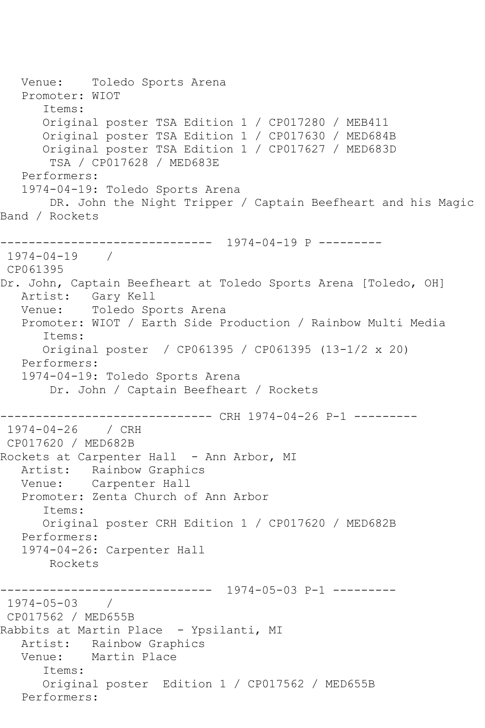Venue: Toledo Sports Arena Promoter: WIOT Items: Original poster TSA Edition 1 / CP017280 / MEB411 Original poster TSA Edition 1 / CP017630 / MED684B Original poster TSA Edition 1 / CP017627 / MED683D TSA / CP017628 / MED683E Performers: 1974-04-19: Toledo Sports Arena DR. John the Night Tripper / Captain Beefheart and his Magic Band / Rockets ------------------------------ 1974-04-19 P --------- 1974-04-19 / CP061395 Dr. John, Captain Beefheart at Toledo Sports Arena [Toledo, OH] Artist: Gary Kell Venue: Toledo Sports Arena Promoter: WIOT / Earth Side Production / Rainbow Multi Media Items: Original poster / CP061395 / CP061395 (13-1/2 x 20) Performers: 1974-04-19: Toledo Sports Arena Dr. John / Captain Beefheart / Rockets ------------------------------ CRH 1974-04-26 P-1 --------- 1974-04-26 / CRH CP017620 / MED682B Rockets at Carpenter Hall - Ann Arbor, MI Artist: Rainbow Graphics Venue: Carpenter Hall Promoter: Zenta Church of Ann Arbor Items: Original poster CRH Edition 1 / CP017620 / MED682B Performers: 1974-04-26: Carpenter Hall Rockets ------------------------------ 1974-05-03 P-1 ---------  $1974 - 05 - 03$ CP017562 / MED655B Rabbits at Martin Place - Ypsilanti, MI Artist: Rainbow Graphics<br>Venue: Martin Place Martin Place Items: Original poster Edition 1 / CP017562 / MED655B Performers: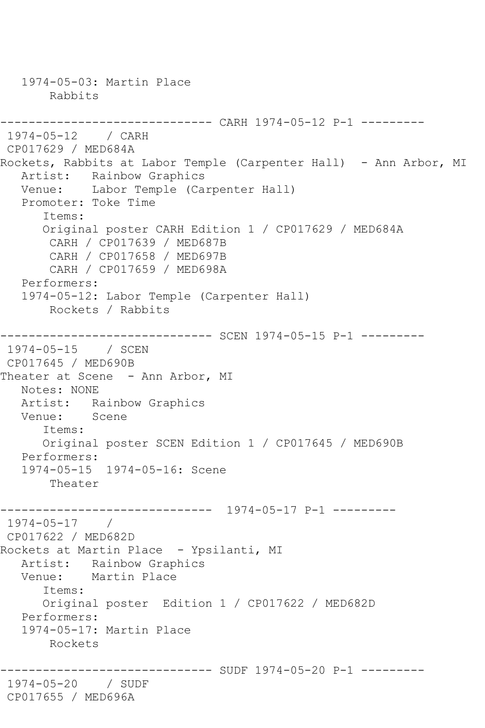1974-05-03: Martin Place Rabbits ------------------------------ CARH 1974-05-12 P-1 --------- 1974-05-12 / CARH CP017629 / MED684A Rockets, Rabbits at Labor Temple (Carpenter Hall) - Ann Arbor, MI Artist: Rainbow Graphics Venue: Labor Temple (Carpenter Hall) Promoter: Toke Time Items: Original poster CARH Edition 1 / CP017629 / MED684A CARH / CP017639 / MED687B CARH / CP017658 / MED697B CARH / CP017659 / MED698A Performers: 1974-05-12: Labor Temple (Carpenter Hall) Rockets / Rabbits ------------------------------ SCEN 1974-05-15 P-1 --------- 1974-05-15 / SCEN CP017645 / MED690B Theater at Scene - Ann Arbor, MI Notes: NONE Artist: Rainbow Graphics<br>Venue: Scene Venue: Items: Original poster SCEN Edition 1 / CP017645 / MED690B Performers: 1974-05-15 1974-05-16: Scene Theater ------------------------------ 1974-05-17 P-1 --------- 1974-05-17 / CP017622 / MED682D Rockets at Martin Place - Ypsilanti, MI Artist: Rainbow Graphics Venue: Martin Place Items: Original poster Edition 1 / CP017622 / MED682D Performers: 1974-05-17: Martin Place Rockets ------------------------------ SUDF 1974-05-20 P-1 --------- 1974-05-20 / SUDF CP017655 / MED696A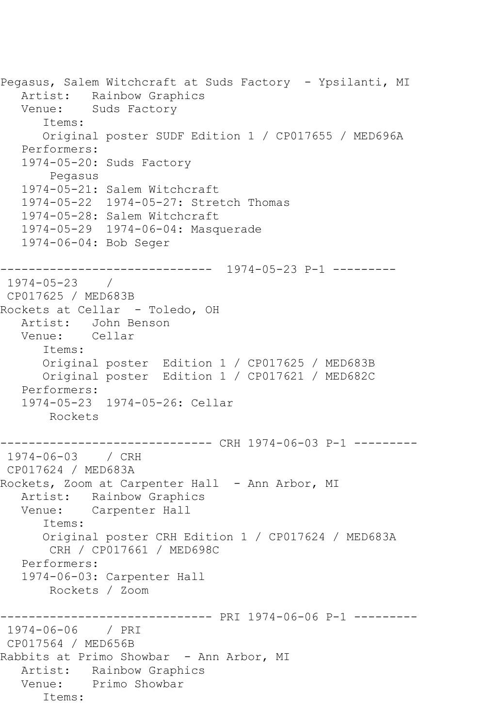```
Pegasus, Salem Witchcraft at Suds Factory - Ypsilanti, MI
   Artist: Rainbow Graphics
   Venue: Suds Factory
       Items:
      Original poster SUDF Edition 1 / CP017655 / MED696A
   Performers:
   1974-05-20: Suds Factory
        Pegasus
   1974-05-21: Salem Witchcraft
   1974-05-22 1974-05-27: Stretch Thomas
   1974-05-28: Salem Witchcraft
   1974-05-29 1974-06-04: Masquerade
   1974-06-04: Bob Seger
------------------------------ 1974-05-23 P-1 ---------
1974-05-23 / 
CP017625 / MED683B
Rockets at Cellar - Toledo, OH
   Artist: John Benson
   Venue: Cellar
       Items:
      Original poster Edition 1 / CP017625 / MED683B
      Original poster Edition 1 / CP017621 / MED682C
   Performers:
   1974-05-23 1974-05-26: Cellar
       Rockets
------------------------------ CRH 1974-06-03 P-1 ---------
1974-06-03 / CRH 
CP017624 / MED683A
Rockets, Zoom at Carpenter Hall - Ann Arbor, MI
   Artist: Rainbow Graphics
   Venue: Carpenter Hall
       Items:
       Original poster CRH Edition 1 / CP017624 / MED683A
       CRH / CP017661 / MED698C
   Performers:
   1974-06-03: Carpenter Hall
       Rockets / Zoom
             ------------------------------ PRI 1974-06-06 P-1 ---------
1974-06-06 / PRI 
CP017564 / MED656B
Rabbits at Primo Showbar - Ann Arbor, MI
   Artist: Rainbow Graphics
   Venue: Primo Showbar
       Items:
```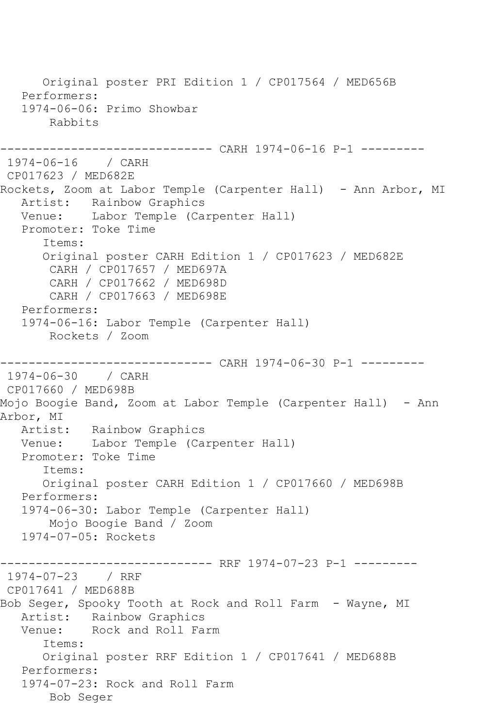Original poster PRI Edition 1 / CP017564 / MED656B Performers: 1974-06-06: Primo Showbar Rabbits ------------------------------ CARH 1974-06-16 P-1 --------- 1974-06-16 / CARH CP017623 / MED682E Rockets, Zoom at Labor Temple (Carpenter Hall) - Ann Arbor, MI Artist: Rainbow Graphics Venue: Labor Temple (Carpenter Hall) Promoter: Toke Time Items: Original poster CARH Edition 1 / CP017623 / MED682E CARH / CP017657 / MED697A CARH / CP017662 / MED698D CARH / CP017663 / MED698E Performers: 1974-06-16: Labor Temple (Carpenter Hall) Rockets / Zoom ------------------------------ CARH 1974-06-30 P-1 --------- 1974-06-30 / CARH CP017660 / MED698B Mojo Boogie Band, Zoom at Labor Temple (Carpenter Hall) - Ann Arbor, MI<br>Artist: Rainbow Graphics Venue: Labor Temple (Carpenter Hall) Promoter: Toke Time Items: Original poster CARH Edition 1 / CP017660 / MED698B Performers: 1974-06-30: Labor Temple (Carpenter Hall) Mojo Boogie Band / Zoom 1974-07-05: Rockets ------------------------------ RRF 1974-07-23 P-1 --------- 1974-07-23 / RRF CP017641 / MED688B Bob Seger, Spooky Tooth at Rock and Roll Farm - Wayne, MI Artist: Rainbow Graphics Venue: Rock and Roll Farm Items: Original poster RRF Edition 1 / CP017641 / MED688B Performers: 1974-07-23: Rock and Roll Farm Bob Seger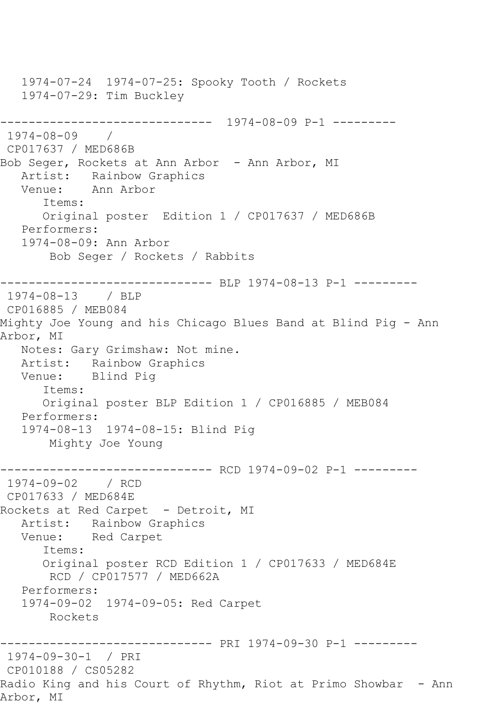1974-07-24 1974-07-25: Spooky Tooth / Rockets 1974-07-29: Tim Buckley ------------------------------ 1974-08-09 P-1 --------- 1974-08-09 / CP017637 / MED686B Bob Seger, Rockets at Ann Arbor - Ann Arbor, MI Artist: Rainbow Graphics Venue: Ann Arbor Items: Original poster Edition 1 / CP017637 / MED686B Performers: 1974-08-09: Ann Arbor Bob Seger / Rockets / Rabbits ------------------------------ BLP 1974-08-13 P-1 --------- 1974-08-13 / BLP CP016885 / MEB084 Mighty Joe Young and his Chicago Blues Band at Blind Pig - Ann Arbor, MI Notes: Gary Grimshaw: Not mine. Artist: Rainbow Graphics<br>Venue: Blind Piq Blind Pig Items: Original poster BLP Edition 1 / CP016885 / MEB084 Performers: 1974-08-13 1974-08-15: Blind Pig Mighty Joe Young ------------------------------ RCD 1974-09-02 P-1 --------- 1974-09-02 / RCD CP017633 / MED684E Rockets at Red Carpet - Detroit, MI Artist: Rainbow Graphics Venue: Red Carpet Items: Original poster RCD Edition 1 / CP017633 / MED684E RCD / CP017577 / MED662A Performers: 1974-09-02 1974-09-05: Red Carpet Rockets ------------------------------ PRI 1974-09-30 P-1 --------- 1974-09-30-1 / PRI CP010188 / CS05282 Radio King and his Court of Rhythm, Riot at Primo Showbar - Ann Arbor, MI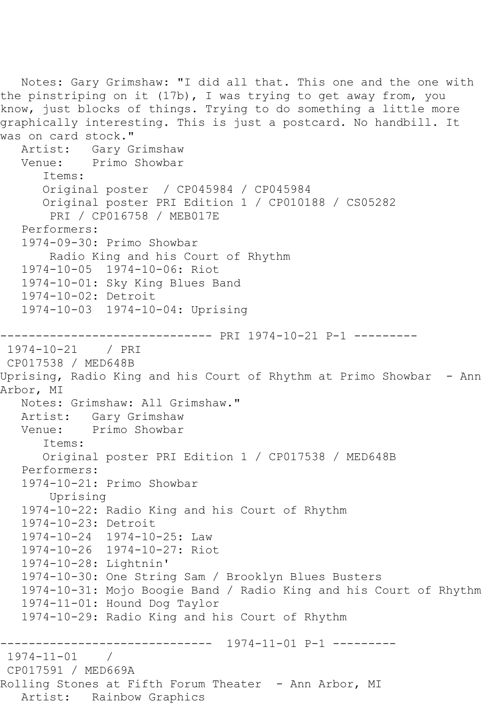```
 Notes: Gary Grimshaw: "I did all that. This one and the one with 
the pinstriping on it (17b), I was trying to get away from, you
know, just blocks of things. Trying to do something a little more 
graphically interesting. This is just a postcard. No handbill. It 
was on card stock."<br>Artist: Gary G
            Artist: Gary Grimshaw
   Venue: Primo Showbar
       Items:
       Original poster / CP045984 / CP045984
       Original poster PRI Edition 1 / CP010188 / CS05282
        PRI / CP016758 / MEB017E
   Performers:
    1974-09-30: Primo Showbar
        Radio King and his Court of Rhythm
    1974-10-05 1974-10-06: Riot
   1974-10-01: Sky King Blues Band
    1974-10-02: Detroit
   1974-10-03 1974-10-04: Uprising
------------------------------ PRI 1974-10-21 P-1 ---------
1974-10-21 / PRI 
CP017538 / MED648B
Uprising, Radio King and his Court of Rhythm at Primo Showbar - Ann 
Arbor, MI
   Notes: Grimshaw: All Grimshaw."
   Artist: Gary Grimshaw
   Venue: Primo Showbar
       Items:
       Original poster PRI Edition 1 / CP017538 / MED648B
   Performers:
    1974-10-21: Primo Showbar
        Uprising
    1974-10-22: Radio King and his Court of Rhythm
    1974-10-23: Detroit
    1974-10-24 1974-10-25: Law
    1974-10-26 1974-10-27: Riot
   1974-10-28: Lightnin'
   1974-10-30: One String Sam / Brooklyn Blues Busters
   1974-10-31: Mojo Boogie Band / Radio King and his Court of Rhythm
    1974-11-01: Hound Dog Taylor
    1974-10-29: Radio King and his Court of Rhythm
                ------------------------------ 1974-11-01 P-1 ---------
1974-11-01 / 
CP017591 / MED669A
Rolling Stones at Fifth Forum Theater - Ann Arbor, MI
   Artist: Rainbow Graphics
```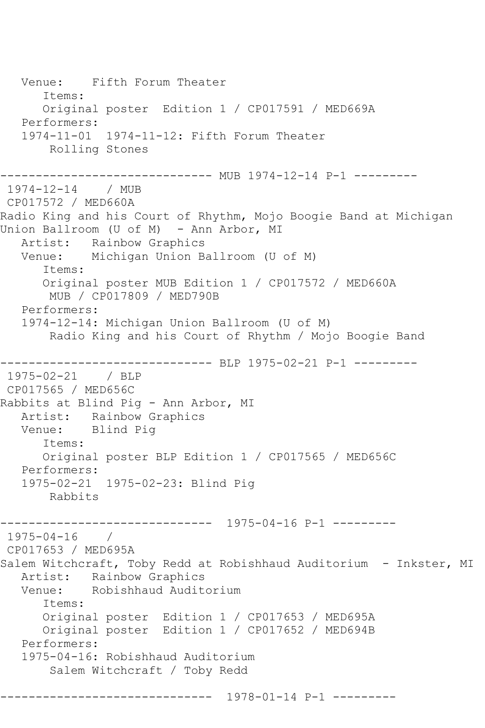Venue: Fifth Forum Theater Items: Original poster Edition 1 / CP017591 / MED669A Performers: 1974-11-01 1974-11-12: Fifth Forum Theater Rolling Stones ---------------------------- MUB 1974-12-14 P-1 ---------1974-12-14 / MUB CP017572 / MED660A Radio King and his Court of Rhythm, Mojo Boogie Band at Michigan Union Ballroom (U of M) - Ann Arbor, MI Artist: Rainbow Graphics Venue: Michigan Union Ballroom (U of M) Items: Original poster MUB Edition 1 / CP017572 / MED660A MUB / CP017809 / MED790B Performers: 1974-12-14: Michigan Union Ballroom (U of M) Radio King and his Court of Rhythm / Mojo Boogie Band ------------------------------ BLP 1975-02-21 P-1 --------- 1975-02-21 / BLP CP017565 / MED656C Rabbits at Blind Pig - Ann Arbor, MI Artist: Rainbow Graphics Venue: Blind Pig Items: Original poster BLP Edition 1 / CP017565 / MED656C Performers: 1975-02-21 1975-02-23: Blind Pig Rabbits ------------------------------ 1975-04-16 P-1 --------- 1975-04-16 / CP017653 / MED695A Salem Witchcraft, Toby Redd at Robishhaud Auditorium - Inkster, MI Artist: Rainbow Graphics Venue: Robishhaud Auditorium Items: Original poster Edition 1 / CP017653 / MED695A Original poster Edition 1 / CP017652 / MED694B Performers: 1975-04-16: Robishhaud Auditorium Salem Witchcraft / Toby Redd ------------------------------ 1978-01-14 P-1 ---------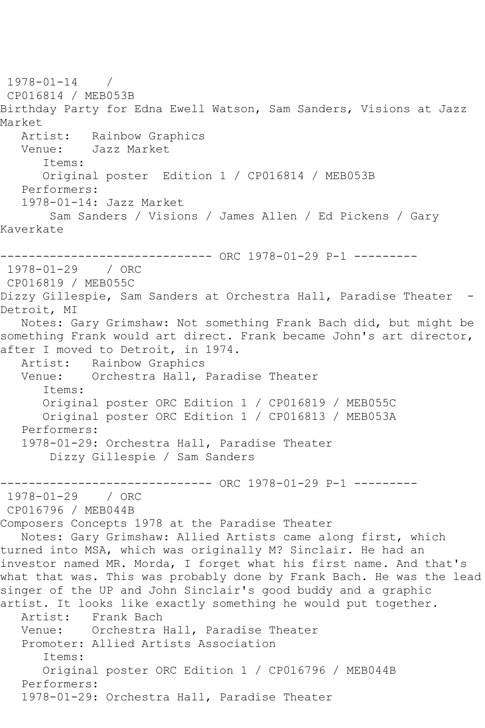1978-01-14 / CP016814 / MEB053B Birthday Party for Edna Ewell Watson, Sam Sanders, Visions at Jazz Market<br>Artist: Rainbow Graphics Venue: Jazz Market Items: Original poster Edition 1 / CP016814 / MEB053B Performers: 1978-01-14: Jazz Market Sam Sanders / Visions / James Allen / Ed Pickens / Gary Kaverkate ------------------------------ ORC 1978-01-29 P-1 --------- 1978-01-29 / ORC CP016819 / MEB055C Dizzy Gillespie, Sam Sanders at Orchestra Hall, Paradise Theater - Detroit, MI Notes: Gary Grimshaw: Not something Frank Bach did, but might be something Frank would art direct. Frank became John's art director, after I moved to Detroit, in 1974.<br>Artist: Rainbow Graphics Rainbow Graphics Venue: Orchestra Hall, Paradise Theater Items: Original poster ORC Edition 1 / CP016819 / MEB055C Original poster ORC Edition 1 / CP016813 / MEB053A Performers: 1978-01-29: Orchestra Hall, Paradise Theater Dizzy Gillespie / Sam Sanders ------------------------------ ORC 1978-01-29 P-1 --------- 1978-01-29 / ORC CP016796 / MEB044B Composers Concepts 1978 at the Paradise Theater Notes: Gary Grimshaw: Allied Artists came along first, which turned into MSA, which was originally M? Sinclair. He had an investor named MR. Morda, I forget what his first name. And that's what that was. This was probably done by Frank Bach. He was the lead singer of the UP and John Sinclair's good buddy and a graphic artist. It looks like exactly something he would put together. Artist: Frank Bach Venue: Orchestra Hall, Paradise Theater Promoter: Allied Artists Association Items: Original poster ORC Edition 1 / CP016796 / MEB044B Performers: 1978-01-29: Orchestra Hall, Paradise Theater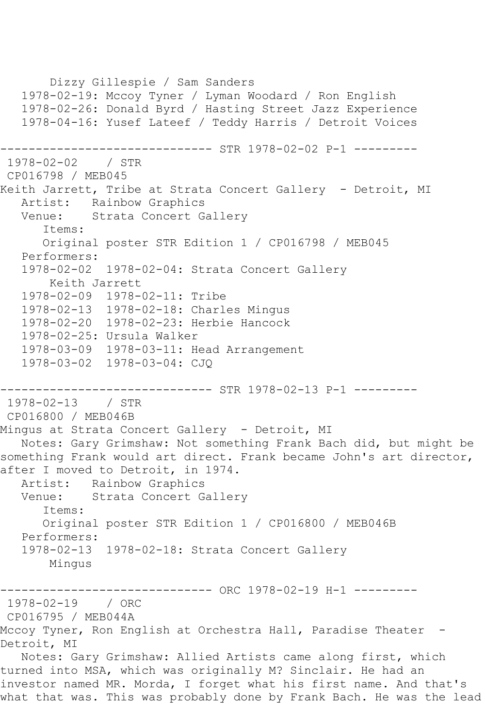Dizzy Gillespie / Sam Sanders 1978-02-19: Mccoy Tyner / Lyman Woodard / Ron English 1978-02-26: Donald Byrd / Hasting Street Jazz Experience 1978-04-16: Yusef Lateef / Teddy Harris / Detroit Voices ------------------------------ STR 1978-02-02 P-1 --------- 1978-02-02 / STR CP016798 / MEB045 Keith Jarrett, Tribe at Strata Concert Gallery - Detroit, MI Artist: Rainbow Graphics<br>Venue: Strata Concert G Strata Concert Gallery Items: Original poster STR Edition 1 / CP016798 / MEB045 Performers: 1978-02-02 1978-02-04: Strata Concert Gallery Keith Jarrett 1978-02-09 1978-02-11: Tribe 1978-02-13 1978-02-18: Charles Mingus 1978-02-20 1978-02-23: Herbie Hancock 1978-02-25: Ursula Walker 1978-03-09 1978-03-11: Head Arrangement 1978-03-02 1978-03-04: CJQ ------------------------------ STR 1978-02-13 P-1 --------- 1978-02-13 / STR CP016800 / MEB046B Mingus at Strata Concert Gallery - Detroit, MI Notes: Gary Grimshaw: Not something Frank Bach did, but might be something Frank would art direct. Frank became John's art director, after I moved to Detroit, in 1974. Artist: Rainbow Graphics Venue: Strata Concert Gallery Items: Original poster STR Edition 1 / CP016800 / MEB046B Performers: 1978-02-13 1978-02-18: Strata Concert Gallery Mingus ------------------------------ ORC 1978-02-19 H-1 --------- 1978-02-19 / ORC CP016795 / MEB044A Mccoy Tyner, Ron English at Orchestra Hall, Paradise Theater - Detroit, MI Notes: Gary Grimshaw: Allied Artists came along first, which turned into MSA, which was originally M? Sinclair. He had an investor named MR. Morda, I forget what his first name. And that's what that was. This was probably done by Frank Bach. He was the lead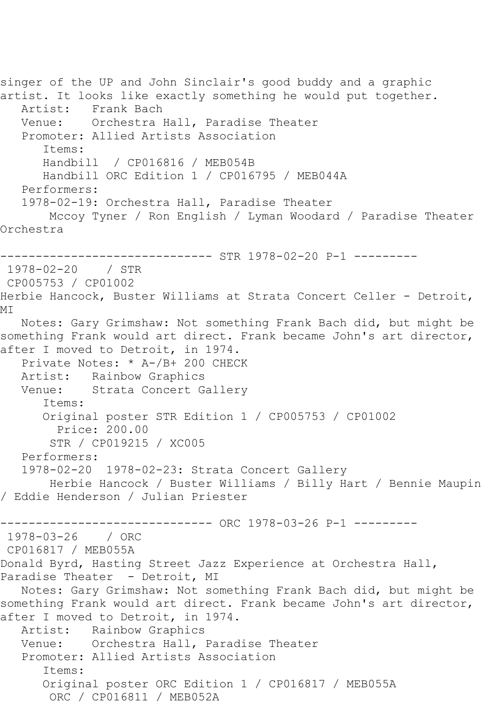singer of the UP and John Sinclair's good buddy and a graphic artist. It looks like exactly something he would put together. Artist: Frank Bach Venue: Orchestra Hall, Paradise Theater Promoter: Allied Artists Association Items: Handbill / CP016816 / MEB054B Handbill ORC Edition 1 / CP016795 / MEB044A Performers: 1978-02-19: Orchestra Hall, Paradise Theater Mccoy Tyner / Ron English / Lyman Woodard / Paradise Theater Orchestra ------------------------------ STR 1978-02-20 P-1 --------- 1978-02-20 / STR CP005753 / CP01002 Herbie Hancock, Buster Williams at Strata Concert Celler - Detroit, MI Notes: Gary Grimshaw: Not something Frank Bach did, but might be something Frank would art direct. Frank became John's art director, after I moved to Detroit, in 1974. Private Notes: \* A-/B+ 200 CHECK Artist: Rainbow Graphics Venue: Strata Concert Gallery Items: Original poster STR Edition 1 / CP005753 / CP01002 Price: 200.00 STR / CP019215 / XC005 Performers: 1978-02-20 1978-02-23: Strata Concert Gallery Herbie Hancock / Buster Williams / Billy Hart / Bennie Maupin / Eddie Henderson / Julian Priester ----------------------------- ORC 1978-03-26 P-1 ---------1978-03-26 / ORC CP016817 / MEB055A Donald Byrd, Hasting Street Jazz Experience at Orchestra Hall, Paradise Theater - Detroit, MI Notes: Gary Grimshaw: Not something Frank Bach did, but might be something Frank would art direct. Frank became John's art director, after I moved to Detroit, in 1974. Artist: Rainbow Graphics Venue: Orchestra Hall, Paradise Theater Promoter: Allied Artists Association Items: Original poster ORC Edition 1 / CP016817 / MEB055A ORC / CP016811 / MEB052A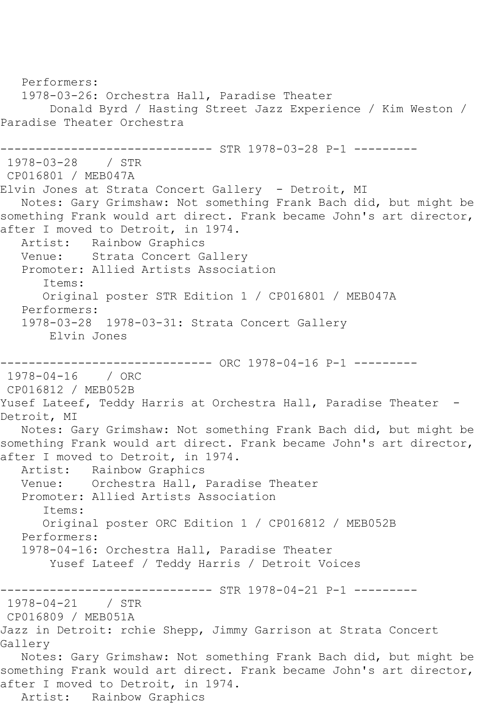Performers: 1978-03-26: Orchestra Hall, Paradise Theater Donald Byrd / Hasting Street Jazz Experience / Kim Weston / Paradise Theater Orchestra ------------ STR 1978-03-28 P-1 ---------1978-03-28 / STR CP016801 / MEB047A Elvin Jones at Strata Concert Gallery - Detroit, MI Notes: Gary Grimshaw: Not something Frank Bach did, but might be something Frank would art direct. Frank became John's art director, after I moved to Detroit, in 1974. Artist: Rainbow Graphics Venue: Strata Concert Gallery Promoter: Allied Artists Association Items: Original poster STR Edition 1 / CP016801 / MEB047A Performers: 1978-03-28 1978-03-31: Strata Concert Gallery Elvin Jones ------------------------------ ORC 1978-04-16 P-1 --------- 1978-04-16 / ORC CP016812 / MEB052B Yusef Lateef, Teddy Harris at Orchestra Hall, Paradise Theater -Detroit, MI Notes: Gary Grimshaw: Not something Frank Bach did, but might be something Frank would art direct. Frank became John's art director, after I moved to Detroit, in 1974. Artist: Rainbow Graphics Venue: Orchestra Hall, Paradise Theater Promoter: Allied Artists Association Items: Original poster ORC Edition 1 / CP016812 / MEB052B Performers: 1978-04-16: Orchestra Hall, Paradise Theater Yusef Lateef / Teddy Harris / Detroit Voices ------------------------------ STR 1978-04-21 P-1 --------- 1978-04-21 / STR CP016809 / MEB051A Jazz in Detroit: rchie Shepp, Jimmy Garrison at Strata Concert Gallery Notes: Gary Grimshaw: Not something Frank Bach did, but might be something Frank would art direct. Frank became John's art director, after I moved to Detroit, in 1974. Artist: Rainbow Graphics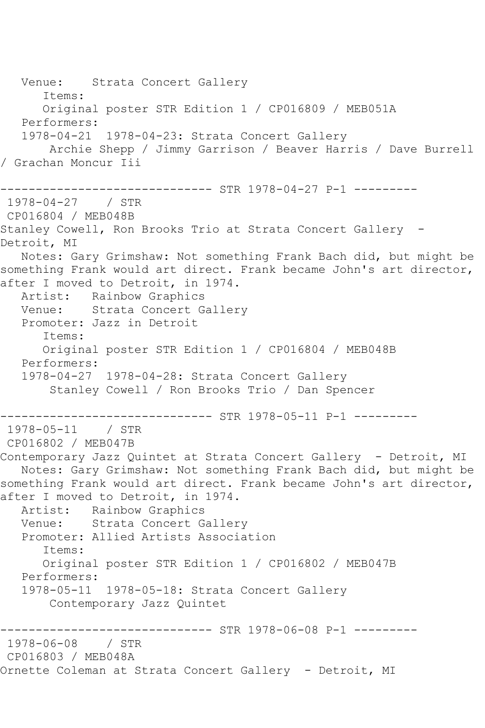Venue: Strata Concert Gallery Items: Original poster STR Edition 1 / CP016809 / MEB051A Performers: 1978-04-21 1978-04-23: Strata Concert Gallery Archie Shepp / Jimmy Garrison / Beaver Harris / Dave Burrell / Grachan Moncur Iii ------------------------------ STR 1978-04-27 P-1 --------- 1978-04-27 / STR CP016804 / MEB048B Stanley Cowell, Ron Brooks Trio at Strata Concert Gallery - Detroit, MI Notes: Gary Grimshaw: Not something Frank Bach did, but might be something Frank would art direct. Frank became John's art director, after I moved to Detroit, in 1974. Artist: Rainbow Graphics<br>Venue: Strata Concert G Strata Concert Gallery Promoter: Jazz in Detroit Items: Original poster STR Edition 1 / CP016804 / MEB048B Performers: 1978-04-27 1978-04-28: Strata Concert Gallery Stanley Cowell / Ron Brooks Trio / Dan Spencer ------------------------------ STR 1978-05-11 P-1 --------- 1978-05-11 / STR CP016802 / MEB047B Contemporary Jazz Quintet at Strata Concert Gallery - Detroit, MI Notes: Gary Grimshaw: Not something Frank Bach did, but might be something Frank would art direct. Frank became John's art director, after I moved to Detroit, in 1974. Artist: Rainbow Graphics<br>Venue: Strata Concert G Strata Concert Gallery Promoter: Allied Artists Association Items: Original poster STR Edition 1 / CP016802 / MEB047B Performers: 1978-05-11 1978-05-18: Strata Concert Gallery Contemporary Jazz Quintet ------------------------------ STR 1978-06-08 P-1 --------- 1978-06-08 / STR CP016803 / MEB048A Ornette Coleman at Strata Concert Gallery - Detroit, MI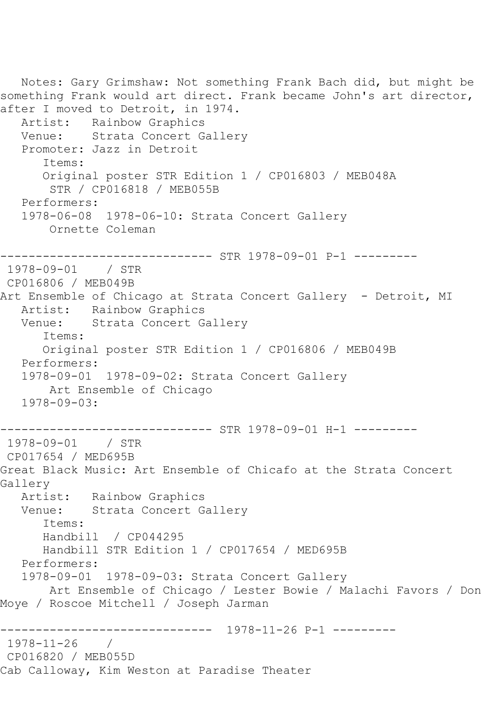Notes: Gary Grimshaw: Not something Frank Bach did, but might be something Frank would art direct. Frank became John's art director, after I moved to Detroit, in 1974. Artist: Rainbow Graphics<br>Venue: Strata Concert G Strata Concert Gallery Promoter: Jazz in Detroit Items: Original poster STR Edition 1 / CP016803 / MEB048A STR / CP016818 / MEB055B Performers: 1978-06-08 1978-06-10: Strata Concert Gallery Ornette Coleman ------------------------------ STR 1978-09-01 P-1 --------- 1978-09-01 / STR CP016806 / MEB049B Art Ensemble of Chicago at Strata Concert Gallery - Detroit, MI Artist: Rainbow Graphics Venue: Strata Concert Gallery Items: Original poster STR Edition 1 / CP016806 / MEB049B Performers: 1978-09-01 1978-09-02: Strata Concert Gallery Art Ensemble of Chicago 1978-09-03: ------------------------------ STR 1978-09-01 H-1 --------- 1978-09-01 / STR CP017654 / MED695B Great Black Music: Art Ensemble of Chicafo at the Strata Concert Gallery<br>Artist: Rainbow Graphics Venue: Strata Concert Gallery Items: Handbill / CP044295 Handbill STR Edition 1 / CP017654 / MED695B Performers: 1978-09-01 1978-09-03: Strata Concert Gallery Art Ensemble of Chicago / Lester Bowie / Malachi Favors / Don Moye / Roscoe Mitchell / Joseph Jarman ------------------------------ 1978-11-26 P-1 --------- 1978-11-26 / CP016820 / MEB055D Cab Calloway, Kim Weston at Paradise Theater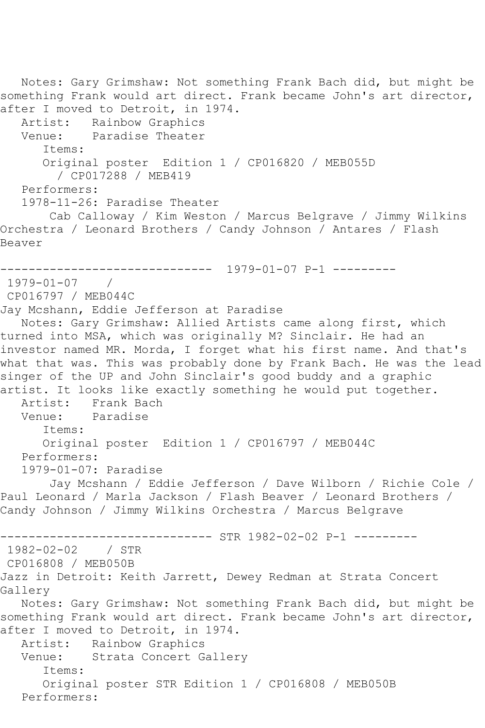Notes: Gary Grimshaw: Not something Frank Bach did, but might be something Frank would art direct. Frank became John's art director, after I moved to Detroit, in 1974. Artist: Rainbow Graphics<br>Venue: Paradise Theater Paradise Theater Items: Original poster Edition 1 / CP016820 / MEB055D / CP017288 / MEB419 Performers: 1978-11-26: Paradise Theater Cab Calloway / Kim Weston / Marcus Belgrave / Jimmy Wilkins Orchestra / Leonard Brothers / Candy Johnson / Antares / Flash Beaver ------------------------------ 1979-01-07 P-1 --------- 1979-01-07 / CP016797 / MEB044C Jay Mcshann, Eddie Jefferson at Paradise Notes: Gary Grimshaw: Allied Artists came along first, which turned into MSA, which was originally M? Sinclair. He had an investor named MR. Morda, I forget what his first name. And that's what that was. This was probably done by Frank Bach. He was the lead singer of the UP and John Sinclair's good buddy and a graphic artist. It looks like exactly something he would put together.<br>Artist: Frank Bach Artist: Frank Bach<br>Venue: Paradise Paradise Items: Original poster Edition 1 / CP016797 / MEB044C Performers: 1979-01-07: Paradise Jay Mcshann / Eddie Jefferson / Dave Wilborn / Richie Cole / Paul Leonard / Marla Jackson / Flash Beaver / Leonard Brothers / Candy Johnson / Jimmy Wilkins Orchestra / Marcus Belgrave ---------- STR 1982-02-02 P-1 ---------1982-02-02 / STR CP016808 / MEB050B Jazz in Detroit: Keith Jarrett, Dewey Redman at Strata Concert Gallery Notes: Gary Grimshaw: Not something Frank Bach did, but might be something Frank would art direct. Frank became John's art director, after I moved to Detroit, in 1974. Artist: Rainbow Graphics Venue: Strata Concert Gallery Items: Original poster STR Edition 1 / CP016808 / MEB050B Performers: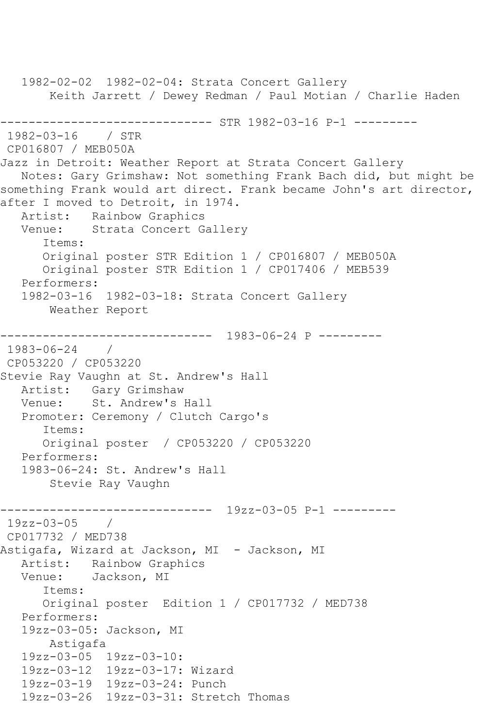1982-02-02 1982-02-04: Strata Concert Gallery Keith Jarrett / Dewey Redman / Paul Motian / Charlie Haden ------------------------------ STR 1982-03-16 P-1 --------- 1982-03-16 / STR CP016807 / MEB050A Jazz in Detroit: Weather Report at Strata Concert Gallery Notes: Gary Grimshaw: Not something Frank Bach did, but might be something Frank would art direct. Frank became John's art director, after I moved to Detroit, in 1974. Artist: Rainbow Graphics Venue: Strata Concert Gallery Items: Original poster STR Edition 1 / CP016807 / MEB050A Original poster STR Edition 1 / CP017406 / MEB539 Performers: 1982-03-16 1982-03-18: Strata Concert Gallery Weather Report ------------------------------ 1983-06-24 P --------- 1983-06-24 / CP053220 / CP053220 Stevie Ray Vaughn at St. Andrew's Hall Artist: Gary Grimshaw Venue: St. Andrew's Hall Promoter: Ceremony / Clutch Cargo's Items: Original poster / CP053220 / CP053220 Performers: 1983-06-24: St. Andrew's Hall Stevie Ray Vaughn ------------------------------ 19zz-03-05 P-1 --------- 19zz-03-05 / CP017732 / MED738 Astigafa, Wizard at Jackson, MI - Jackson, MI Artist: Rainbow Graphics Venue: Jackson, MI Items: Original poster Edition 1 / CP017732 / MED738 Performers: 19zz-03-05: Jackson, MI Astigafa 19zz-03-05 19zz-03-10: 19zz-03-12 19zz-03-17: Wizard 19zz-03-19 19zz-03-24: Punch 19zz-03-26 19zz-03-31: Stretch Thomas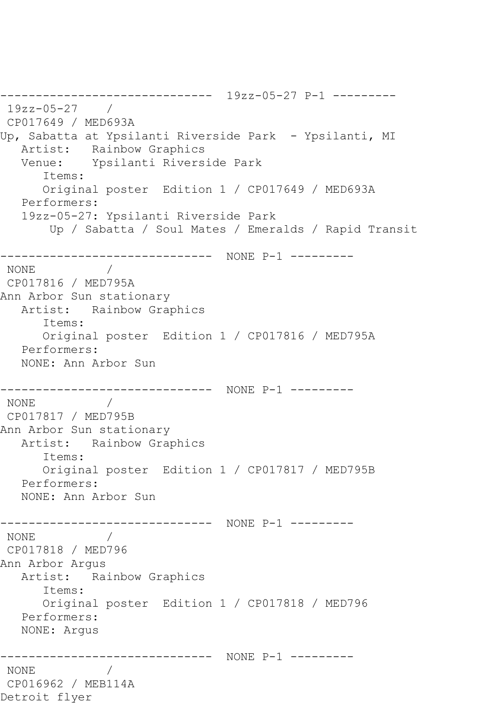------------------------------ 19zz-05-27 P-1 --------- 19zz-05-27 / CP017649 / MED693A Up, Sabatta at Ypsilanti Riverside Park - Ypsilanti, MI Artist: Rainbow Graphics Venue: Ypsilanti Riverside Park Items: Original poster Edition 1 / CP017649 / MED693A Performers: 19zz-05-27: Ypsilanti Riverside Park Up / Sabatta / Soul Mates / Emeralds / Rapid Transit ------------------------------ NONE P-1 --------- NONE / CP017816 / MED795A Ann Arbor Sun stationary Artist: Rainbow Graphics Items: Original poster Edition 1 / CP017816 / MED795A Performers: NONE: Ann Arbor Sun ------------------------------ NONE P-1 --------- NONE / CP017817 / MED795B Ann Arbor Sun stationary Artist: Rainbow Graphics Items: Original poster Edition 1 / CP017817 / MED795B Performers: NONE: Ann Arbor Sun ------------------------------ NONE P-1 --------- NONE / CP017818 / MED796 Ann Arbor Argus Artist: Rainbow Graphics Items: Original poster Edition 1 / CP017818 / MED796 Performers: NONE: Argus ------------------------------ NONE P-1 --------- NONE / CP016962 / MEB114A Detroit flyer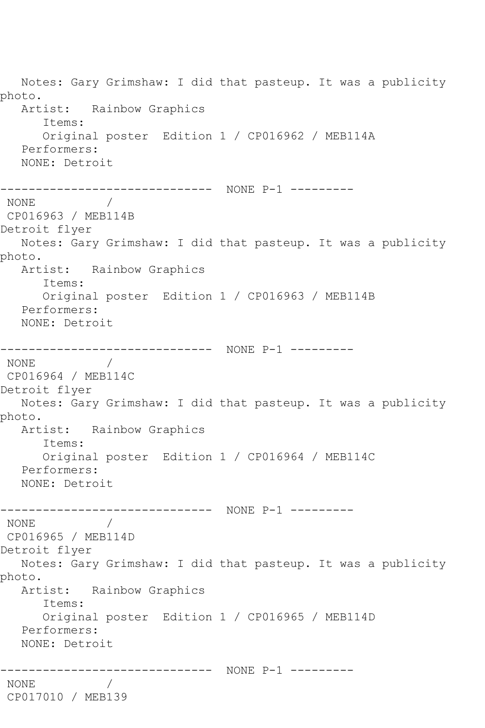Notes: Gary Grimshaw: I did that pasteup. It was a publicity photo. Artist: Rainbow Graphics Items: Original poster Edition 1 / CP016962 / MEB114A Performers: NONE: Detroit ------------------------------ NONE P-1 --------- NONE / CP016963 / MEB114B Detroit flyer Notes: Gary Grimshaw: I did that pasteup. It was a publicity photo. Artist: Rainbow Graphics Items: Original poster Edition 1 / CP016963 / MEB114B Performers: NONE: Detroit ------------------------------ NONE P-1 --------- NONE / CP016964 / MEB114C Detroit flyer Notes: Gary Grimshaw: I did that pasteup. It was a publicity photo. Artist: Rainbow Graphics Items: Original poster Edition 1 / CP016964 / MEB114C Performers: NONE: Detroit ------------------------------ NONE P-1 --------- NONE / CP016965 / MEB114D Detroit flyer Notes: Gary Grimshaw: I did that pasteup. It was a publicity photo. Artist: Rainbow Graphics Items: Original poster Edition 1 / CP016965 / MEB114D Performers: NONE: Detroit ------------------------------ NONE P-1 --------- NONE / CP017010 / MEB139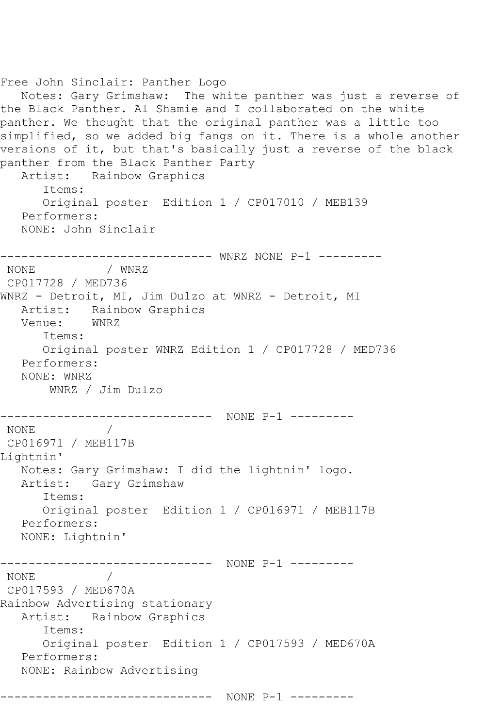```
Free John Sinclair: Panther Logo
  Notes: Gary Grimshaw: The white panther was just a reverse of 
the Black Panther. Al Shamie and I collaborated on the white 
panther. We thought that the original panther was a little too 
simplified, so we added big fangs on it. There is a whole another 
versions of it, but that's basically just a reverse of the black 
panther from the Black Panther Party
   Artist: Rainbow Graphics
      Items:
      Original poster Edition 1 / CP017010 / MEB139
   Performers:
   NONE: John Sinclair
------------------------------ WNRZ NONE P-1 ---------
NONE / WNRZ 
CP017728 / MED736
WNRZ - Detroit, MI, Jim Dulzo at WNRZ - Detroit, MI
   Artist: Rainbow Graphics
   Venue: WNRZ
      Items:
      Original poster WNRZ Edition 1 / CP017728 / MED736
   Performers:
   NONE: WNRZ
       WNRZ / Jim Dulzo
------------------------------ NONE P-1 ---------
NONE
CP016971 / MEB117B
Lightnin'
   Notes: Gary Grimshaw: I did the lightnin' logo.
   Artist: Gary Grimshaw
      Items:
      Original poster Edition 1 / CP016971 / MEB117B
   Performers:
   NONE: Lightnin'
------------------------------ NONE P-1 ---------
NONE / 
CP017593 / MED670A
Rainbow Advertising stationary
   Artist: Rainbow Graphics
      Items:
      Original poster Edition 1 / CP017593 / MED670A
   Performers:
   NONE: Rainbow Advertising
------------------------------ NONE P-1 ---------
```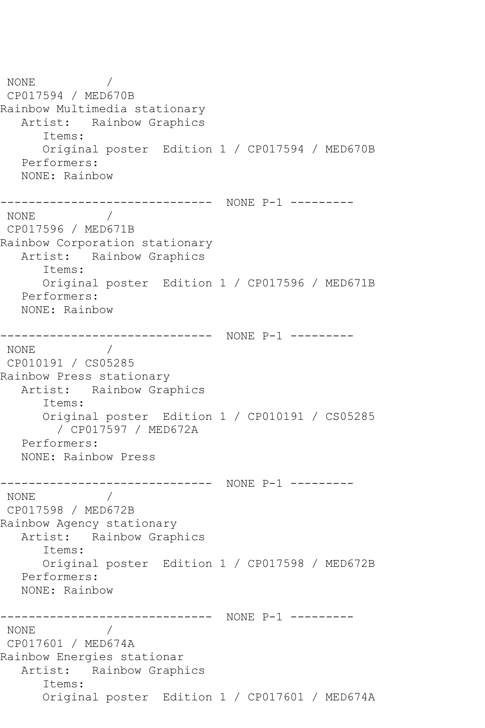NONE / CP017594 / MED670B Rainbow Multimedia stationary Artist: Rainbow Graphics Items: Original poster Edition 1 / CP017594 / MED670B Performers: NONE: Rainbow ------------------------------ NONE P-1 --------- NONE / CP017596 / MED671B Rainbow Corporation stationary Artist: Rainbow Graphics Items: Original poster Edition 1 / CP017596 / MED671B Performers: NONE: Rainbow ------------------------------ NONE P-1 --------- NONE / CP010191 / CS05285 Rainbow Press stationary Artist: Rainbow Graphics Items: Original poster Edition 1 / CP010191 / CS05285 / CP017597 / MED672A Performers: NONE: Rainbow Press ------------------------------ NONE P-1 --------- NONE / CP017598 / MED672B Rainbow Agency stationary Artist: Rainbow Graphics Items: Original poster Edition 1 / CP017598 / MED672B Performers: NONE: Rainbow ------------------------------ NONE P-1 --------- NONE / CP017601 / MED674A Rainbow Energies stationar Artist: Rainbow Graphics Items: Original poster Edition 1 / CP017601 / MED674A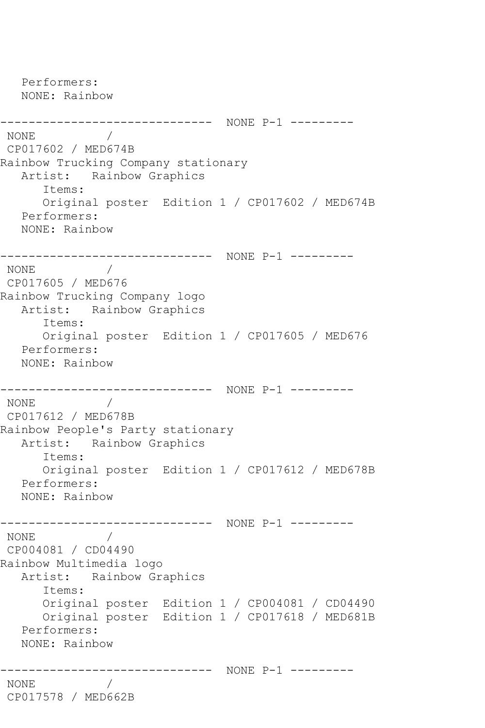```
 Performers:
   NONE: Rainbow
------------------------------ NONE P-1 ---------
NONE / 
CP017602 / MED674B
Rainbow Trucking Company stationary
   Artist: Rainbow Graphics
      Items:
      Original poster Edition 1 / CP017602 / MED674B
   Performers:
   NONE: Rainbow
------------------------------ NONE P-1 ---------
NONE / 
CP017605 / MED676
Rainbow Trucking Company logo
   Artist: Rainbow Graphics
      Items:
      Original poster Edition 1 / CP017605 / MED676
   Performers:
   NONE: Rainbow
------------------------------ NONE P-1 ---------
NONE / 
CP017612 / MED678B
Rainbow People's Party stationary
   Artist: Rainbow Graphics
      Items:
      Original poster Edition 1 / CP017612 / MED678B
   Performers:
   NONE: Rainbow
------------------------------ NONE P-1 ---------
NONE / 
CP004081 / CD04490
Rainbow Multimedia logo
   Artist: Rainbow Graphics
      Items:
      Original poster Edition 1 / CP004081 / CD04490
      Original poster Edition 1 / CP017618 / MED681B
   Performers:
   NONE: Rainbow
------------------------------ NONE P-1 ---------
NONE / 
CP017578 / MED662B
```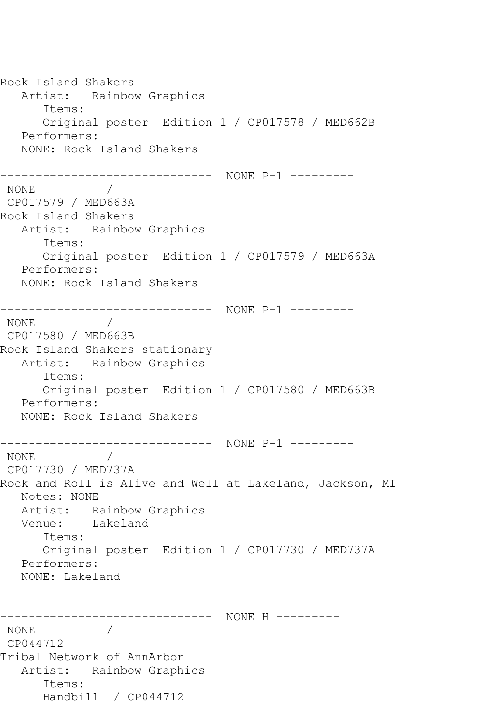Rock Island Shakers Artist: Rainbow Graphics Items: Original poster Edition 1 / CP017578 / MED662B Performers: NONE: Rock Island Shakers ------------------------------ NONE P-1 --------- NONE / CP017579 / MED663A Rock Island Shakers Artist: Rainbow Graphics Items: Original poster Edition 1 / CP017579 / MED663A Performers: NONE: Rock Island Shakers ------------------------------ NONE P-1 --------- NONE / CP017580 / MED663B Rock Island Shakers stationary Artist: Rainbow Graphics Items: Original poster Edition 1 / CP017580 / MED663B Performers: NONE: Rock Island Shakers ------------------------------ NONE P-1 --------- NONE / CP017730 / MED737A Rock and Roll is Alive and Well at Lakeland, Jackson, MI Notes: NONE Artist: Rainbow Graphics<br>Venue: Lakeland Lakeland Items: Original poster Edition 1 / CP017730 / MED737A Performers: NONE: Lakeland ------------------------------ NONE H --------- NONE / CP044712 Tribal Network of AnnArbor Artist: Rainbow Graphics Items: Handbill / CP044712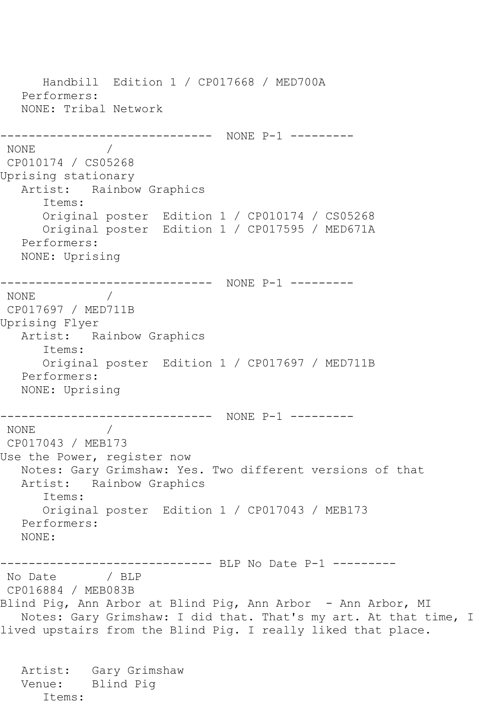Handbill Edition 1 / CP017668 / MED700A Performers: NONE: Tribal Network ------------------------------ NONE P-1 --------- NONE / CP010174 / CS05268 Uprising stationary Artist: Rainbow Graphics Items: Original poster Edition 1 / CP010174 / CS05268 Original poster Edition 1 / CP017595 / MED671A Performers: NONE: Uprising ------------------------------ NONE P-1 --------- NONE / CP017697 / MED711B Uprising Flyer Artist: Rainbow Graphics Items: Original poster Edition 1 / CP017697 / MED711B Performers: NONE: Uprising ------------------------------ NONE P-1 --------- NONE / CP017043 / MEB173 Use the Power, register now Notes: Gary Grimshaw: Yes. Two different versions of that Artist: Rainbow Graphics Items: Original poster Edition 1 / CP017043 / MEB173 Performers: NONE: ------------------------------ BLP No Date P-1 --------- No Date / BLP CP016884 / MEB083B Blind Pig, Ann Arbor at Blind Pig, Ann Arbor - Ann Arbor, MI Notes: Gary Grimshaw: I did that. That's my art. At that time, I lived upstairs from the Blind Pig. I really liked that place. Artist: Gary Grimshaw Venue: Blind Pig

Items: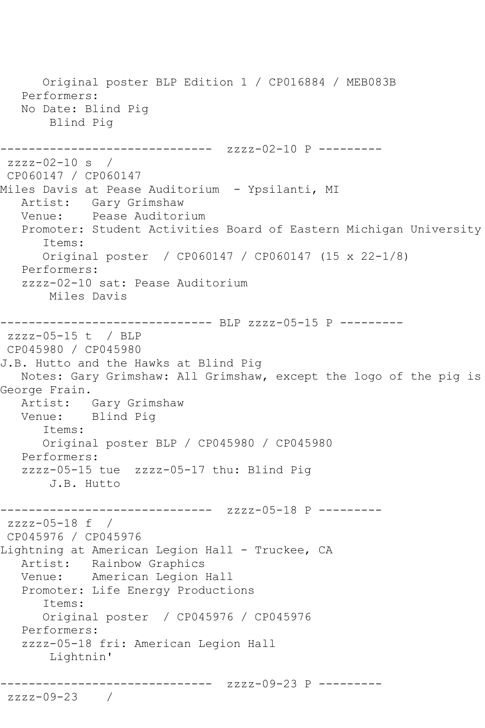```
 Original poster BLP Edition 1 / CP016884 / MEB083B
   Performers:
   No Date: Blind Pig
       Blind Pig
------------------------------ zzzz-02-10 P ---------
zzzz-02-10 s / 
CP060147 / CP060147
Miles Davis at Pease Auditorium - Ypsilanti, MI
   Artist: Gary Grimshaw
   Venue: Pease Auditorium
   Promoter: Student Activities Board of Eastern Michigan University
       Items:
       Original poster / CP060147 / CP060147 (15 x 22-1/8)
   Performers:
   zzzz-02-10 sat: Pease Auditorium
       Miles Davis
------------------------------ BLP zzzz-05-15 P ---------
zzzz-05-15 t / BLP 
CP045980 / CP045980
J.B. Hutto and the Hawks at Blind Pig
   Notes: Gary Grimshaw: All Grimshaw, except the logo of the pig is 
George Frain.
  Artist: Gary Grimshaw<br>Venue: Blind Pig
           Blind Pig
       Items:
      Original poster BLP / CP045980 / CP045980
   Performers:
   zzzz-05-15 tue zzzz-05-17 thu: Blind Pig
       J.B. Hutto
------------------------------ zzzz-05-18 P ---------
zzzz-05-18 f /
CP045976 / CP045976
Lightning at American Legion Hall - Truckee, CA
   Artist: Rainbow Graphics
   Venue: American Legion Hall
   Promoter: Life Energy Productions
       Items:
      Original poster / CP045976 / CP045976
   Performers:
   zzzz-05-18 fri: American Legion Hall
       Lightnin'
------------------------------ zzzz-09-23 P ---------
zzzz-09-23 /
```